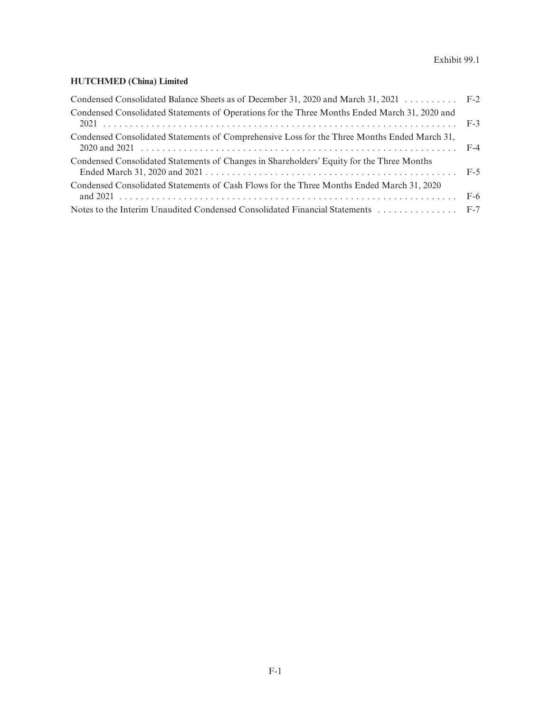# **HUTCHMED (China) Limited**

| Condensed Consolidated Balance Sheets as of December 31, 2020 and March 31, 2021 F-2          |  |
|-----------------------------------------------------------------------------------------------|--|
| Condensed Consolidated Statements of Operations for the Three Months Ended March 31, 2020 and |  |
| Condensed Consolidated Statements of Comprehensive Loss for the Three Months Ended March 31,  |  |
| Condensed Consolidated Statements of Changes in Shareholders' Equity for the Three Months     |  |
| Condensed Consolidated Statements of Cash Flows for the Three Months Ended March 31, 2020     |  |
| Notes to the Interim Unaudited Condensed Consolidated Financial Statements  F-7               |  |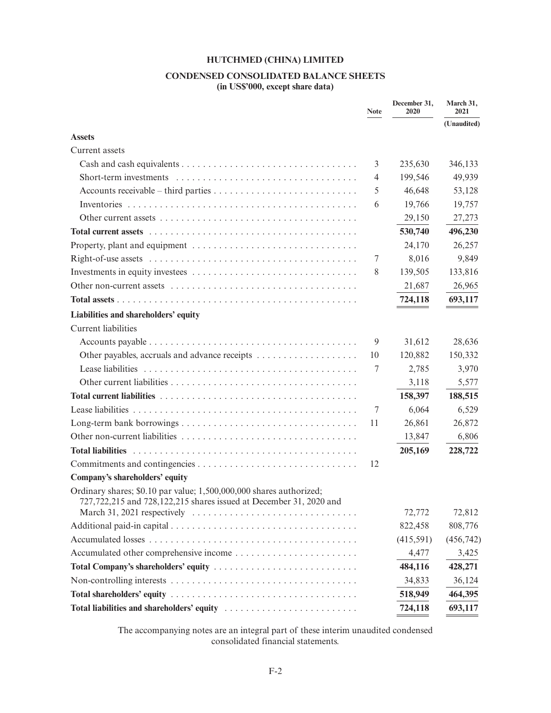# **CONDENSED CONSOLIDATED BALANCE SHEETS**

**(in US\$'000, except share data)**

|                                                                                                                                           | <b>Note</b>    | December 31,<br>2020 | March 31,<br>2021 |
|-------------------------------------------------------------------------------------------------------------------------------------------|----------------|----------------------|-------------------|
|                                                                                                                                           |                |                      | (Unaudited)       |
| <b>Assets</b>                                                                                                                             |                |                      |                   |
| Current assets                                                                                                                            |                |                      |                   |
|                                                                                                                                           | 3              | 235,630              | 346,133           |
|                                                                                                                                           | $\overline{4}$ | 199,546              | 49,939            |
|                                                                                                                                           | 5              | 46,648               | 53,128            |
|                                                                                                                                           | 6              | 19,766               | 19,757            |
|                                                                                                                                           |                | 29,150               | 27,273            |
|                                                                                                                                           |                | 530,740              | 496,230           |
|                                                                                                                                           |                | 24,170               | 26,257            |
|                                                                                                                                           | 7              | 8,016                | 9,849             |
|                                                                                                                                           | 8              | 139,505              | 133,816           |
|                                                                                                                                           |                | 21,687               | 26,965            |
|                                                                                                                                           |                | 724,118              | 693,117           |
| Liabilities and shareholders' equity                                                                                                      |                |                      |                   |
| <b>Current</b> liabilities                                                                                                                |                |                      |                   |
|                                                                                                                                           | 9              | 31,612               | 28,636            |
|                                                                                                                                           | 10             | 120,882              | 150,332           |
|                                                                                                                                           | 7              | 2,785                | 3,970             |
|                                                                                                                                           |                | 3,118                | 5,577             |
|                                                                                                                                           |                | 158,397              | 188,515           |
|                                                                                                                                           | 7              | 6,064                | 6,529             |
|                                                                                                                                           | 11             | 26,861               | 26,872            |
|                                                                                                                                           |                | 13,847               | 6,806             |
| <b>Total liabilities</b>                                                                                                                  |                | 205,169              | 228,722           |
|                                                                                                                                           | 12             |                      |                   |
| Company's shareholders' equity                                                                                                            |                |                      |                   |
| Ordinary shares; \$0.10 par value; 1,500,000,000 shares authorized;<br>727,722,215 and 728,122,215 shares issued at December 31, 2020 and |                |                      |                   |
| March 31, 2021 respectively $\ldots \ldots \ldots \ldots \ldots \ldots \ldots \ldots \ldots \ldots$                                       |                | 72,772               | 72,812            |
|                                                                                                                                           |                | 822,458              | 808,776           |
|                                                                                                                                           |                | (415,591)            | (456, 742)        |
|                                                                                                                                           |                | 4,477                | 3,425             |
| Total Company's shareholders' equity                                                                                                      |                | 484,116              | 428,271           |
|                                                                                                                                           |                | 34,833               | 36,124            |
|                                                                                                                                           |                | 518,949              | 464,395           |
|                                                                                                                                           |                | 724,118              | 693,117           |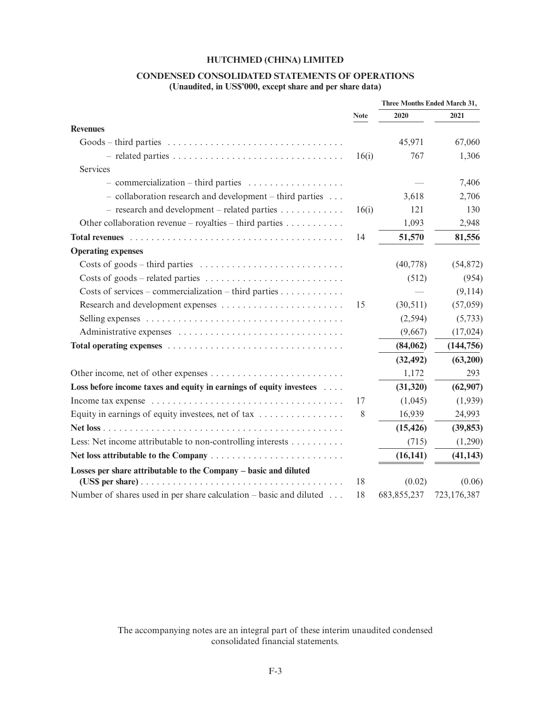# **CONDENSED CONSOLIDATED STATEMENTS OF OPERATIONS**

**(Unaudited, in US\$'000, except share and per share data)**

|                                                                                        |             | Three Months Ended March 31, |             |
|----------------------------------------------------------------------------------------|-------------|------------------------------|-------------|
|                                                                                        | <b>Note</b> | 2020                         | 2021        |
| <b>Revenues</b>                                                                        |             |                              |             |
|                                                                                        |             | 45,971                       | 67,060      |
|                                                                                        | 16(i)       | 767                          | 1,306       |
| Services                                                                               |             |                              |             |
|                                                                                        |             |                              | 7,406       |
| $-$ collaboration research and development $-$ third parties $\ldots$                  |             | 3,618                        | 2,706       |
| $-$ research and development – related parties                                         | 16(i)       | 121                          | 130         |
| Other collaboration revenue – royalties – third parties $\dots \dots \dots$            |             | 1,093                        | 2,948       |
|                                                                                        | 14          | 51,570                       | 81,556      |
| <b>Operating expenses</b>                                                              |             |                              |             |
| Costs of goods – third parties $\dots \dots \dots \dots \dots \dots \dots \dots \dots$ |             | (40, 778)                    | (54, 872)   |
|                                                                                        |             | (512)                        | (954)       |
|                                                                                        |             |                              | (9,114)     |
|                                                                                        | 15          | (30,511)                     | (57,059)    |
|                                                                                        |             | (2, 594)                     | (5,733)     |
|                                                                                        |             | (9,667)                      | (17, 024)   |
|                                                                                        |             | (84,062)                     | (144, 756)  |
|                                                                                        |             | (32, 492)                    | (63,200)    |
|                                                                                        |             | 1,172                        | 293         |
| Loss before income taxes and equity in earnings of equity investees                    |             | (31, 320)                    | (62,907)    |
|                                                                                        | 17          | (1,045)                      | (1,939)     |
| Equity in earnings of equity investees, net of tax $\dots\dots\dots\dots\dots$         | 8           | 16,939                       | 24,993      |
|                                                                                        |             | (15, 426)                    | (39, 853)   |
| Less: Net income attributable to non-controlling interests                             |             | (715)                        | (1,290)     |
|                                                                                        |             | (16, 141)                    | (41, 143)   |
| Losses per share attributable to the Company - basic and diluted                       |             |                              |             |
|                                                                                        | 18          | (0.02)                       | (0.06)      |
| Number of shares used in per share calculation $-$ basic and diluted                   | 18          | 683, 855, 237                | 723,176,387 |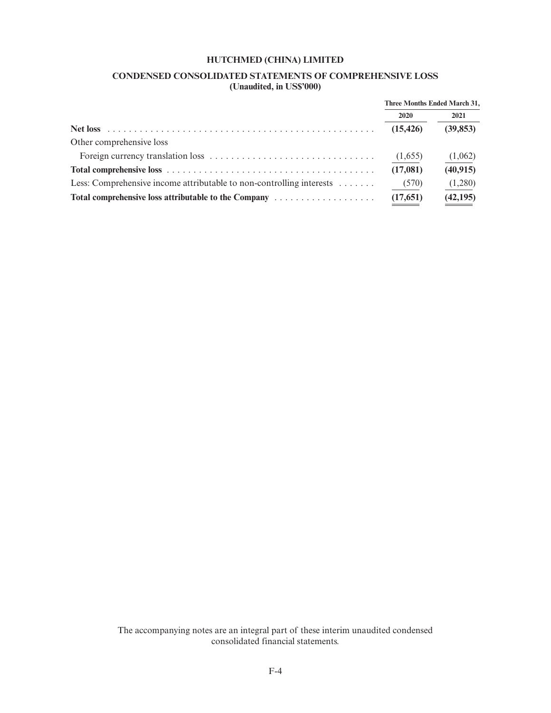# **CONDENSED CONSOLIDATED STATEMENTS OF COMPREHENSIVE LOSS (Unaudited, in US\$'000)**

|                                                                      | Three Months Ended March 31, |           |
|----------------------------------------------------------------------|------------------------------|-----------|
|                                                                      | 2020                         | 2021      |
|                                                                      | (15, 426)                    | (39, 853) |
| Other comprehensive loss                                             |                              |           |
|                                                                      | (1,655)                      | (1,062)   |
|                                                                      | (17,081)                     | (40, 915) |
| Less: Comprehensive income attributable to non-controlling interests | (570)                        | (1,280)   |
| Total comprehensive loss attributable to the Company                 | (17,651)                     | (42, 195) |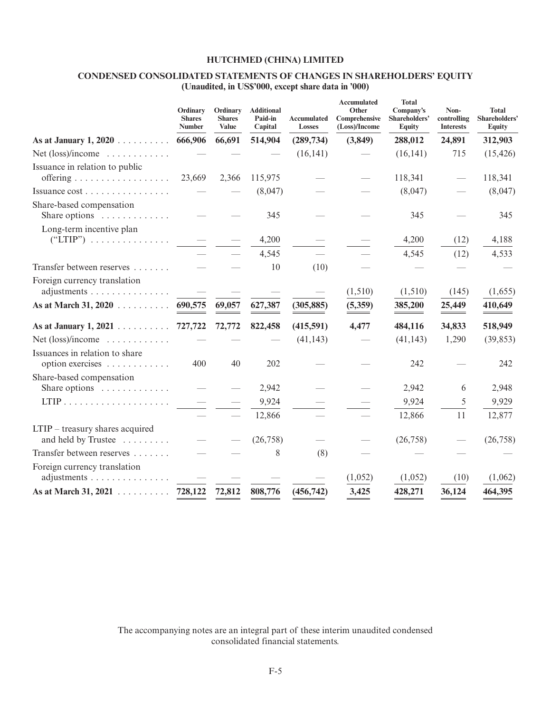# **CONDENSED CONSOLIDATED STATEMENTS OF CHANGES IN SHAREHOLDERS' EQUITY (Unaudited, in US\$'000, except share data in '000)**

|                                                               | Ordinary<br><b>Shares</b><br><b>Number</b> | Ordinary<br><b>Shares</b><br><b>Value</b> | <b>Additional</b><br>Paid-in<br>Capital | <b>Accumulated</b><br><b>Losses</b> | <b>Accumulated</b><br>Other<br>Comprehensive<br>(Loss)/Income | <b>Total</b><br>Company's<br>Shareholders'<br><b>Equity</b> | Non-<br>controlling<br><b>Interests</b> | <b>Total</b><br>Shareholders'<br><b>Equity</b> |
|---------------------------------------------------------------|--------------------------------------------|-------------------------------------------|-----------------------------------------|-------------------------------------|---------------------------------------------------------------|-------------------------------------------------------------|-----------------------------------------|------------------------------------------------|
| As at January $1, 2020$                                       | 666,906                                    | 66,691                                    | 514,904                                 | (289, 734)                          | (3,849)                                                       | 288,012                                                     | 24,891                                  | 312,903                                        |
| Net $(\text{loss})/$ income $\dots \dots \dots$               |                                            |                                           |                                         | (16, 141)                           |                                                               | (16, 141)                                                   | 715                                     | (15, 426)                                      |
| Issuance in relation to public                                | 23,669                                     | 2,366                                     | 115,975                                 |                                     |                                                               | 118,341                                                     |                                         | 118,341                                        |
| Issuance cost                                                 |                                            |                                           | (8,047)                                 |                                     |                                                               | (8,047)                                                     |                                         | (8,047)                                        |
| Share-based compensation<br>Share options                     |                                            |                                           | 345                                     |                                     |                                                               | 345                                                         |                                         | 345                                            |
| Long-term incentive plan<br>$("LTIP")$                        |                                            |                                           | 4,200                                   |                                     |                                                               | 4,200                                                       | (12)                                    | 4,188                                          |
|                                                               |                                            |                                           | 4,545                                   |                                     |                                                               | 4,545                                                       | (12)                                    | 4,533                                          |
| Transfer between reserves                                     |                                            |                                           | 10                                      | (10)                                |                                                               |                                                             |                                         |                                                |
| Foreign currency translation<br>adjustments                   | $\overline{\phantom{m}}$                   |                                           |                                         |                                     | (1,510)                                                       | (1,510)                                                     | (145)                                   | (1,655)                                        |
| As at March 31, 2020                                          | 690,575                                    | 69,057                                    | 627,387                                 | (305, 885)                          | (5,359)                                                       | 385,200                                                     | 25,449                                  | 410,649                                        |
| As at January $1, 2021$                                       | 727,722                                    | 72,772                                    | 822,458                                 | (415,591)                           | 4,477                                                         | 484,116                                                     | 34,833                                  | 518,949                                        |
| Net $(\text{loss})/$ income $\dots \dots \dots$               |                                            |                                           |                                         | (41, 143)                           |                                                               | (41, 143)                                                   | 1,290                                   | (39, 853)                                      |
| Issuances in relation to share<br>option exercises            | 400                                        | 40                                        | 202                                     |                                     |                                                               | 242                                                         |                                         | 242                                            |
| Share-based compensation<br>Share options $\dots \dots \dots$ |                                            |                                           | 2,942                                   |                                     |                                                               | 2,942                                                       | 6                                       | 2,948                                          |
| $LTIP$                                                        |                                            |                                           | 9,924                                   |                                     |                                                               | 9,924                                                       | 5                                       | 9,929                                          |
|                                                               |                                            |                                           | 12,866                                  |                                     |                                                               | 12,866                                                      | 11                                      | 12,877                                         |
| $LTIP$ – treasury shares acquired<br>and held by Trustee      |                                            |                                           | (26, 758)                               |                                     |                                                               | (26, 758)                                                   |                                         | (26, 758)                                      |
| Transfer between reserves                                     |                                            |                                           | 8                                       | (8)                                 |                                                               |                                                             |                                         |                                                |
| Foreign currency translation<br>adjustments                   |                                            |                                           |                                         |                                     | (1,052)                                                       | (1,052)                                                     | (10)                                    | (1,062)                                        |
| As at March 31, 2021 $\ldots \ldots \ldots$                   | 728,122                                    | 72,812                                    | 808,776                                 | (456, 742)                          | 3,425                                                         | 428,271                                                     | 36,124                                  | 464,395                                        |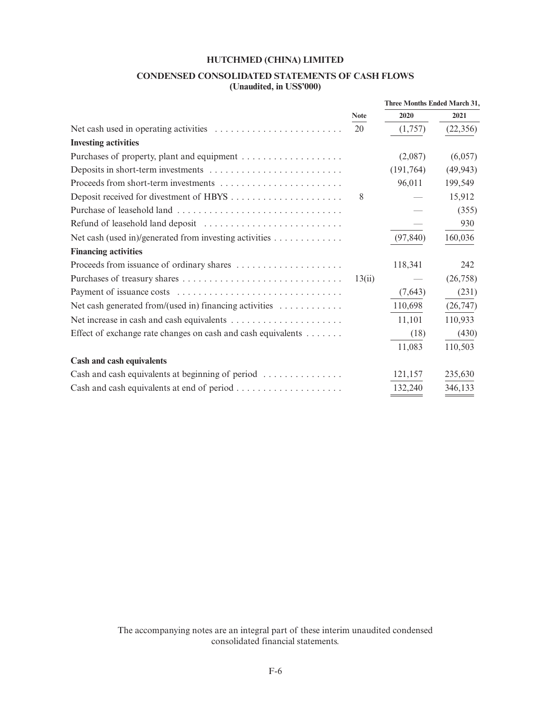# **CONDENSED CONSOLIDATED STATEMENTS OF CASH FLOWS**

**(Unaudited, in US\$'000)**

|                                                                                         |             | Three Months Ended March 31, |           |
|-----------------------------------------------------------------------------------------|-------------|------------------------------|-----------|
|                                                                                         | <b>Note</b> | 2020                         | 2021      |
| Net cash used in operating activities $\dots \dots \dots \dots \dots \dots \dots \dots$ | 20          | (1,757)                      | (22, 356) |
| <b>Investing activities</b>                                                             |             |                              |           |
|                                                                                         |             | (2,087)                      | (6,057)   |
|                                                                                         |             | (191, 764)                   | (49, 943) |
| Proceeds from short-term investments                                                    |             | 96,011                       | 199,549   |
|                                                                                         | 8           |                              | 15,912    |
|                                                                                         |             |                              | (355)     |
|                                                                                         |             |                              | 930       |
| Net cash (used in)/generated from investing activities                                  |             | (97, 840)                    | 160,036   |
| <b>Financing activities</b>                                                             |             |                              |           |
|                                                                                         |             | 118,341                      | 242       |
|                                                                                         | 13(ii)      |                              | (26, 758) |
|                                                                                         |             | (7,643)                      | (231)     |
| Net cash generated from/(used in) financing activities $\dots \dots \dots$              |             | 110,698                      | (26, 747) |
|                                                                                         |             | 11,101                       | 110,933   |
| Effect of exchange rate changes on cash and cash equivalents                            |             | (18)                         | (430)     |
|                                                                                         |             | 11,083                       | 110,503   |
| Cash and cash equivalents                                                               |             |                              |           |
| Cash and cash equivalents at beginning of period                                        |             | 121,157                      | 235,630   |
|                                                                                         |             | 132,240                      | 346,133   |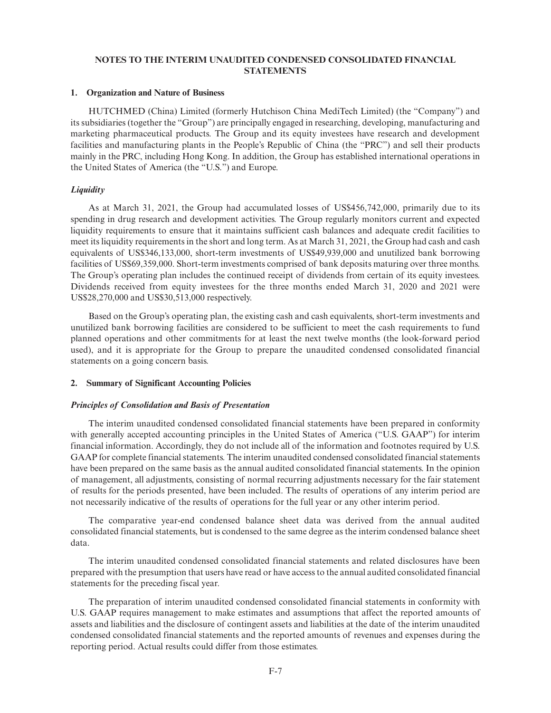# **NOTES TO THE INTERIM UNAUDITED CONDENSED CONSOLIDATED FINANCIAL STATEMENTS**

#### **1. Organization and Nature of Business**

HUTCHMED (China) Limited (formerly Hutchison China MediTech Limited) (the "Company") and its subsidiaries (together the "Group") are principally engaged in researching, developing, manufacturing and marketing pharmaceutical products. The Group and its equity investees have research and development facilities and manufacturing plants in the People's Republic of China (the "PRC") and sell their products mainly in the PRC, including Hong Kong. In addition, the Group has established international operations in the United States of America (the "U.S.") and Europe.

## *Liquidity*

As at March 31, 2021, the Group had accumulated losses of US\$456,742,000, primarily due to its spending in drug research and development activities. The Group regularly monitors current and expected liquidity requirements to ensure that it maintains sufficient cash balances and adequate credit facilities to meet its liquidity requirements in the short and long term. As at March 31, 2021, the Group had cash and cash equivalents of US\$346,133,000, short-term investments of US\$49,939,000 and unutilized bank borrowing facilities of US\$69,359,000. Short-term investments comprised of bank deposits maturing over three months. The Group's operating plan includes the continued receipt of dividends from certain of its equity investees. Dividends received from equity investees for the three months ended March 31, 2020 and 2021 were US\$28,270,000 and US\$30,513,000 respectively.

Based on the Group's operating plan, the existing cash and cash equivalents, short-term investments and unutilized bank borrowing facilities are considered to be sufficient to meet the cash requirements to fund planned operations and other commitments for at least the next twelve months (the look-forward period used), and it is appropriate for the Group to prepare the unaudited condensed consolidated financial statements on a going concern basis.

## **2. Summary of Significant Accounting Policies**

## *Principles of Consolidation and Basis of Presentation*

The interim unaudited condensed consolidated financial statements have been prepared in conformity with generally accepted accounting principles in the United States of America ("U.S. GAAP") for interim financial information. Accordingly, they do not include all of the information and footnotes required by U.S. GAAP for complete financial statements. The interim unaudited condensed consolidated financial statements have been prepared on the same basis as the annual audited consolidated financial statements. In the opinion of management, all adjustments, consisting of normal recurring adjustments necessary for the fair statement of results for the periods presented, have been included. The results of operations of any interim period are not necessarily indicative of the results of operations for the full year or any other interim period.

The comparative year-end condensed balance sheet data was derived from the annual audited consolidated financial statements, but is condensed to the same degree as the interim condensed balance sheet data.

The interim unaudited condensed consolidated financial statements and related disclosures have been prepared with the presumption that users have read or have access to the annual audited consolidated financial statements for the preceding fiscal year.

The preparation of interim unaudited condensed consolidated financial statements in conformity with U.S. GAAP requires management to make estimates and assumptions that affect the reported amounts of assets and liabilities and the disclosure of contingent assets and liabilities at the date of the interim unaudited condensed consolidated financial statements and the reported amounts of revenues and expenses during the reporting period. Actual results could differ from those estimates.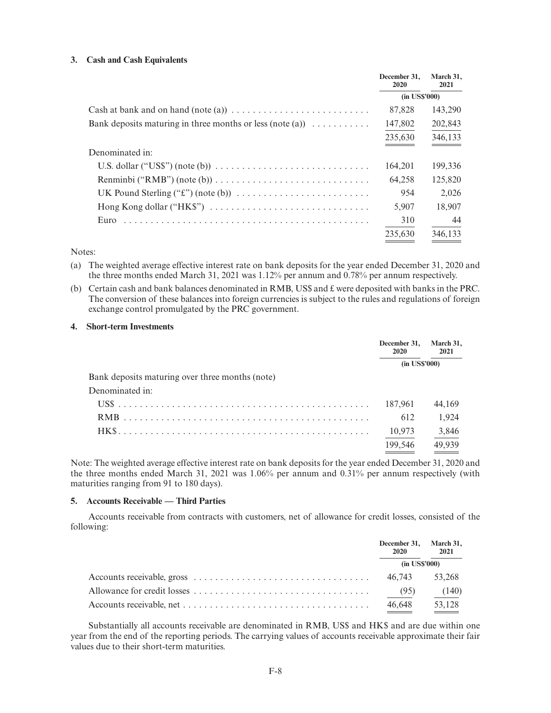#### **3. Cash and Cash Equivalents**

|                                                                                                  | December 31.<br>2020 | March 31,<br>2021 |
|--------------------------------------------------------------------------------------------------|----------------------|-------------------|
|                                                                                                  | $(in$ US\$'000 $)$   |                   |
| Cash at bank and on hand (note (a)) $\dots \dots \dots \dots \dots \dots \dots \dots$            | 87,828               | 143,290           |
| Bank deposits maturing in three months or less (note (a)) $\dots \dots \dots$                    | 147,802              | 202,843           |
|                                                                                                  | 235,630              | 346,133           |
| Denominated in:                                                                                  |                      |                   |
| U.S. dollar ("US\$") (note (b)) $\ldots \ldots \ldots \ldots \ldots \ldots \ldots \ldots \ldots$ | 164.201              | 199,336           |
| Renminbi ("RMB") (note (b)) $\ldots \ldots \ldots \ldots \ldots \ldots \ldots \ldots \ldots$     | 64.258               | 125,820           |
|                                                                                                  | 954                  | 2,026             |
| Hong Kong dollar ("HK\$") $\dots \dots \dots \dots \dots \dots \dots \dots \dots \dots$          | 5.907                | 18,907            |
| Euro                                                                                             | 310                  | 44                |
|                                                                                                  | 235,630              | 346,133           |

Notes:

- (a) The weighted average effective interest rate on bank deposits for the year ended December 31, 2020 and the three months ended March 31, 2021 was 1.12% per annum and 0.78% per annum respectively.
- (b) Certain cash and bank balances denominated in RMB, US\$ and £ were deposited with banks in the PRC. The conversion of these balances into foreign currencies is subject to the rules and regulations of foreign exchange control promulgated by the PRC government.

#### **4. Short-term Investments**

|                                                 | December 31.<br>2020 | March 31,<br>2021 |
|-------------------------------------------------|----------------------|-------------------|
|                                                 |                      | $(in$ US\$'000)   |
| Bank deposits maturing over three months (note) |                      |                   |
| Denominated in:                                 |                      |                   |
|                                                 | 187.961              | 44.169            |
|                                                 | 612                  | 1.924             |
|                                                 | 10,973               | 3,846             |
|                                                 | 199.546              | 49.939            |

Note: The weighted average effective interest rate on bank deposits for the year ended December 31, 2020 and the three months ended March 31, 2021 was 1.06% per annum and 0.31% per annum respectively (with maturities ranging from 91 to 180 days).

#### **5. Accounts Receivable — Third Parties**

Accounts receivable from contracts with customers, net of allowance for credit losses, consisted of the following:

| December 31, March 31,<br><b>2020</b> | 2021   |
|---------------------------------------|--------|
| $(in$ US\$'000)                       |        |
| 46.743                                | 53.268 |
| (95)                                  | (140)  |
| 46.648                                | 53,128 |

Substantially all accounts receivable are denominated in RMB, US\$ and HK\$ and are due within one year from the end of the reporting periods. The carrying values of accounts receivable approximate their fair values due to their short-term maturities.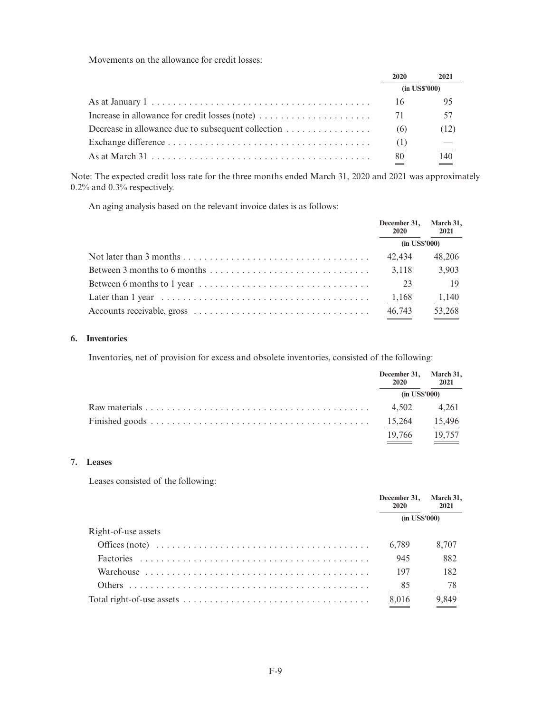Movements on the allowance for credit losses:

|                                                                                                                   | 2020            | 2021     |
|-------------------------------------------------------------------------------------------------------------------|-----------------|----------|
|                                                                                                                   | $(in$ US\$'000) |          |
|                                                                                                                   | 16              | 95       |
| Increase in allowance for credit losses (note) $\dots \dots \dots \dots \dots \dots$                              | 71              | 57       |
| Decrease in allowance due to subsequent collection                                                                | (6)             | (12)     |
|                                                                                                                   | (1)             | $\equiv$ |
| As at March 31 $\ldots$ $\ldots$ $\ldots$ $\ldots$ $\ldots$ $\ldots$ $\ldots$ $\ldots$ $\ldots$ $\ldots$ $\ldots$ | 80              | 140      |

Note: The expected credit loss rate for the three months ended March 31, 2020 and 2021 was approximately 0.2% and 0.3% respectively.

An aging analysis based on the relevant invoice dates is as follows:

|                                                                                                  | December 31, March 31,<br>2020 | 2021               |
|--------------------------------------------------------------------------------------------------|--------------------------------|--------------------|
|                                                                                                  |                                | $(in$ US\$'000 $)$ |
|                                                                                                  | 42.434                         | 48,206             |
| Between 3 months to 6 months $\dots \dots \dots \dots \dots \dots \dots \dots \dots \dots \dots$ | 3.118                          | 3,903              |
|                                                                                                  | -23                            | -19                |
|                                                                                                  | 1,168                          | 1,140              |
|                                                                                                  | 46,743                         | 53,268             |

#### **6. Inventories**

Inventories, net of provision for excess and obsolete inventories, consisted of the following:

| December 31, March 31,<br>2020 | 2021   |
|--------------------------------|--------|
| $(in$ US\$'000)                |        |
| 4.502                          | 4.261  |
| 15,264                         | 15,496 |
| 19.766                         | 19.757 |

# **7. Leases**

Leases consisted of the following:

|                     | December 31, March 31,<br>2020 | 2021  |
|---------------------|--------------------------------|-------|
|                     | $(in$ US\$'000)                |       |
| Right-of-use assets |                                |       |
|                     | 6.789                          | 8.707 |
|                     | 945                            | 882   |
|                     | 197                            | 182   |
| Others              | 85                             | 78    |
|                     | 8,016                          | 9,849 |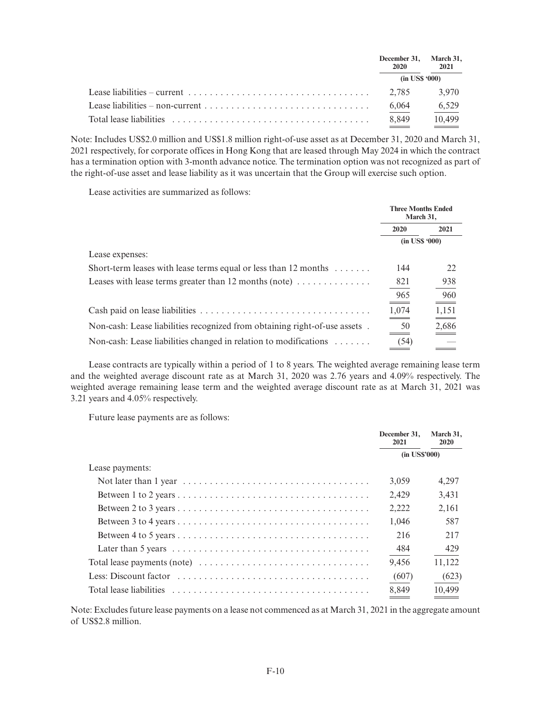|                                                                                                                                                                                                                                | December 31, March 31,<br>2020 | 2021   |
|--------------------------------------------------------------------------------------------------------------------------------------------------------------------------------------------------------------------------------|--------------------------------|--------|
|                                                                                                                                                                                                                                | $(in$ US\$ '000)               |        |
| Lease liabilities – current $\ldots$ , $\ldots$ , $\ldots$ , $\ldots$ , $\ldots$ , $\ldots$ , $\ldots$ , $\ldots$ , $\ldots$ , $\ldots$                                                                                        | 2.785                          | 3.970  |
|                                                                                                                                                                                                                                | 6,064                          | 6,529  |
| Total lease liabilities expressionally experience in the contract of the contract of the contract of the contract of the contract of the contract of the contract of the contract of the contract of the contract of the contr | 8,849                          | 10,499 |

Note: Includes US\$2.0 million and US\$1.8 million right-of-use asset as at December 31, 2020 and March 31, 2021 respectively, for corporate offices in Hong Kong that are leased through May 2024 in which the contract has a termination option with 3-month advance notice. The termination option was not recognized as part of the right-of-use asset and lease liability as it was uncertain that the Group will exercise such option.

Lease activities are summarized as follows:

|                                                                                 | <b>Three Months Ended</b><br>March 31, |       |
|---------------------------------------------------------------------------------|----------------------------------------|-------|
|                                                                                 | 2020                                   | 2021  |
|                                                                                 | $(in$ US\$ '000)                       |       |
| Lease expenses:                                                                 |                                        |       |
| Short-term leases with lease terms equal or less than 12 months $\dots \dots$   | 144                                    | 22    |
| Leases with lease terms greater than 12 months (note) $\dots \dots \dots \dots$ | 821                                    | 938   |
|                                                                                 | 965                                    | 960   |
|                                                                                 | 1,074                                  | 1,151 |
| Non-cash: Lease liabilities recognized from obtaining right-of-use assets.      | 50                                     | 2,686 |
| Non-cash: Lease liabilities changed in relation to modifications $\dots \dots$  | (54)                                   |       |

Lease contracts are typically within a period of 1 to 8 years. The weighted average remaining lease term and the weighted average discount rate as at March 31, 2020 was 2.76 years and 4.09% respectively. The weighted average remaining lease term and the weighted average discount rate as at March 31, 2021 was 3.21 years and 4.05% respectively.

Future lease payments are as follows:

|                 | December 31,<br>2021 | March 31,<br>2020 |
|-----------------|----------------------|-------------------|
|                 | $(in$ US\$'000)      |                   |
| Lease payments: |                      |                   |
|                 | 3,059                | 4,297             |
|                 | 2.429                | 3,431             |
|                 | 2,222                | 2,161             |
|                 | 1.046                | 587               |
|                 | 216                  | 217               |
|                 | 484                  | 429               |
|                 | 9,456                | 11,122            |
|                 | (607)                | (623)             |
|                 | 8,849                | 10.499            |

Note: Excludes future lease payments on a lease not commenced as at March 31, 2021 in the aggregate amount of US\$2.8 million.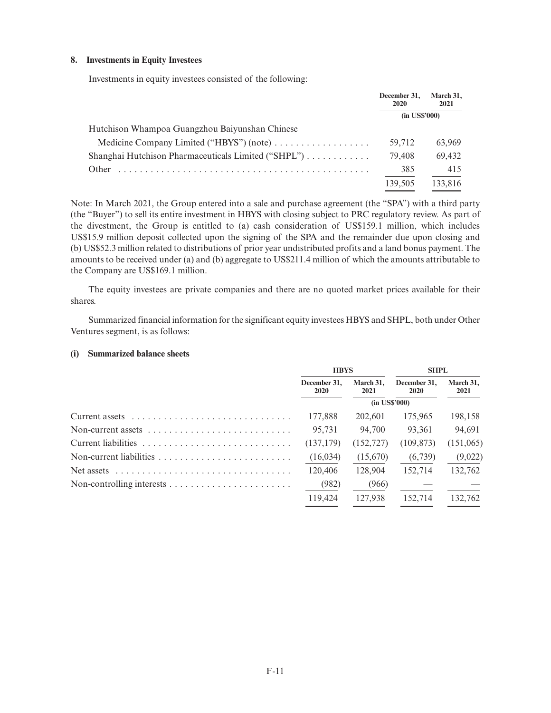## **8. Investments in Equity Investees**

Investments in equity investees consisted of the following:

|                                                     | December 31.<br>2020 | March 31,<br>2021 |
|-----------------------------------------------------|----------------------|-------------------|
|                                                     | $(in$ US\$'000)      |                   |
| Hutchison Whampoa Guangzhou Baiyunshan Chinese      |                      |                   |
|                                                     | 59.712               | 63,969            |
| Shanghai Hutchison Pharmaceuticals Limited ("SHPL") | 79.408               | 69,432            |
| Other                                               | 385                  | 415               |
|                                                     | 139.505              | 133,816           |

Note: In March 2021, the Group entered into a sale and purchase agreement (the "SPA") with a third party (the "Buyer") to sell its entire investment in HBYS with closing subject to PRC regulatory review. As part of the divestment, the Group is entitled to (a) cash consideration of US\$159.1 million, which includes US\$15.9 million deposit collected upon the signing of the SPA and the remainder due upon closing and (b) US\$52.3 million related to distributions of prior year undistributed profits and a land bonus payment. The amounts to be received under (a) and (b) aggregate to US\$211.4 million of which the amounts attributable to the Company are US\$169.1 million.

The equity investees are private companies and there are no quoted market prices available for their shares.

Summarized financial information for the significant equity investees HBYS and SHPL, both under Other Ventures segment, is as follows:

#### **(i) Summarized balance sheets**

|                                                                                      | <b>HBYS</b>          |                   |                      |                   | <b>SHPL</b> |  |
|--------------------------------------------------------------------------------------|----------------------|-------------------|----------------------|-------------------|-------------|--|
|                                                                                      | December 31.<br>2020 | March 31.<br>2021 | December 31.<br>2020 | March 31.<br>2021 |             |  |
|                                                                                      | $(in$ US\$'000)      |                   |                      |                   |             |  |
|                                                                                      | 177,888              | 202,601           | 175,965              | 198,158           |             |  |
| Non-current assets $\ldots \ldots \ldots \ldots \ldots \ldots \ldots \ldots$         | 95,731               | 94,700            | 93.361               | 94,691            |             |  |
|                                                                                      | (137, 179)           | (152, 727)        | (109, 873)           | (151,065)         |             |  |
|                                                                                      | (16, 034)            | (15,670)          | (6,739)              | (9,022)           |             |  |
| Net assets $\dots \dots \dots \dots \dots \dots \dots \dots \dots \dots \dots \dots$ | 120,406              | 128,904           | 152.714              | 132,762           |             |  |
|                                                                                      | (982)                | (966)             |                      |                   |             |  |
|                                                                                      | 119.424              | 127.938           | 152.714              | 132,762           |             |  |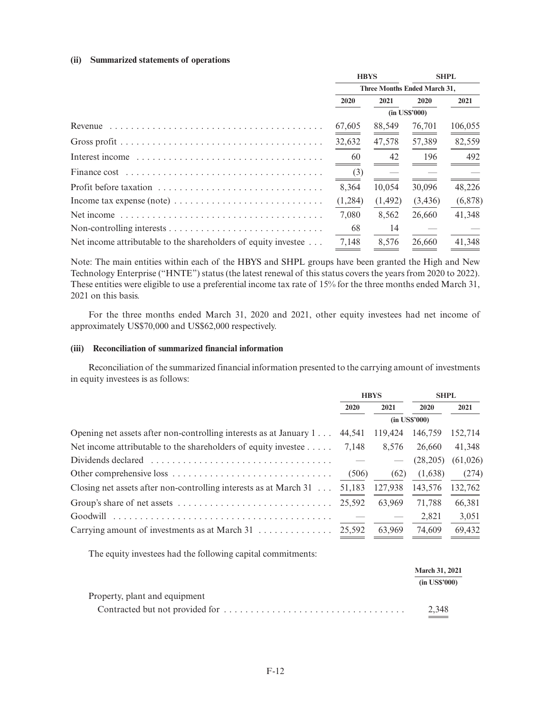#### **(ii) Summarized statements of operations**

|                                                                                         | <b>HBYS</b>                  |          |         | <b>SHPL</b> |
|-----------------------------------------------------------------------------------------|------------------------------|----------|---------|-------------|
|                                                                                         | Three Months Ended March 31, |          |         |             |
|                                                                                         | 2020                         | 2021     | 2020    | 2021        |
|                                                                                         | $(in$ US\$'000)              |          |         |             |
| Revenue $\dots\dots\dots\dots\dots\dots\dots\dots\dots\dots\dots\dots\dots\dots\dots$   | 67,605                       | 88,549   | 76,701  | 106,055     |
|                                                                                         | 32,632                       | 47,578   | 57,389  | 82,559      |
|                                                                                         | 60                           | 42       | 196     | 492         |
|                                                                                         | (3)                          |          |         |             |
| Profit before taxation                                                                  | 8,364                        | 10.054   | 30,096  | 48,226      |
| Income tax expense (note) $\dots \dots \dots \dots \dots \dots \dots \dots \dots \dots$ | (1,284)                      | (1, 492) | (3,436) | (6,878)     |
|                                                                                         | 7,080                        | 8,562    | 26,660  | 41,348      |
|                                                                                         | 68                           | 14       |         |             |
| Net income attributable to the shareholders of equity investee                          | 7,148                        | 8.576    | 26,660  | 41,348      |

Note: The main entities within each of the HBYS and SHPL groups have been granted the High and New Technology Enterprise ("HNTE") status (the latest renewal of this status covers the years from 2020 to 2022). These entities were eligible to use a preferential income tax rate of 15% for the three months ended March 31, 2021 on this basis.

For the three months ended March 31, 2020 and 2021, other equity investees had net income of approximately US\$70,000 and US\$62,000 respectively.

# **(iii) Reconciliation of summarized financial information**

Reconciliation of the summarized financial information presented to the carrying amount of investments in equity investees is as follows:

|                                                                                            | <b>HBYS</b> |                 | <b>SHPL</b> |           |
|--------------------------------------------------------------------------------------------|-------------|-----------------|-------------|-----------|
|                                                                                            | 2020        | 2021            | 2020        | 2021      |
|                                                                                            |             | $(in$ US\$'000) |             |           |
| Opening net assets after non-controlling interests as at January 1                         | 44.541      | 119.424         | 146,759     | 152,714   |
| Net income attributable to the shareholders of equity investee $\dots$ .                   | 7.148       | 8.576           | 26.660      | 41,348    |
| Dividends declared $\ldots \ldots \ldots \ldots \ldots \ldots \ldots \ldots \ldots \ldots$ |             |                 | (28, 205)   | (61, 026) |
|                                                                                            | (506)       | (62)            | (1,638)     | (274)     |
| Closing net assets after non-controlling interests as at March $31$                        | 51,183      | 127,938         | 143,576     | 132,762   |
|                                                                                            | 25.592      | 63.969          | 71.788      | 66,381    |
| Goodwill                                                                                   |             |                 | 2.821       | 3,051     |
|                                                                                            | 25.592      | 63.969          | 74,609      | 69,432    |
|                                                                                            |             |                 |             |           |

The equity investees had the following capital commitments:

|                               | <b>March 31, 2021</b> |  |
|-------------------------------|-----------------------|--|
|                               | $(in$ US\$'000)       |  |
| Property, plant and equipment |                       |  |
|                               | 2.348                 |  |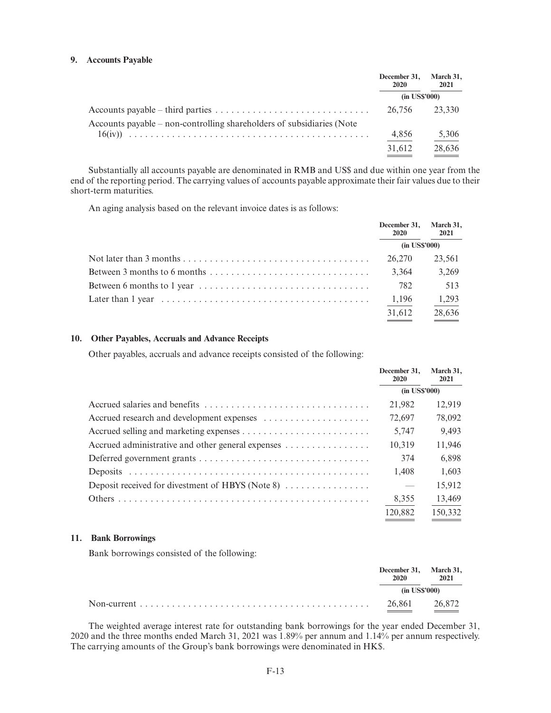#### **9. Accounts Payable**

|                                                                       | December 31.<br>2020 | March 31,<br>2021 |
|-----------------------------------------------------------------------|----------------------|-------------------|
|                                                                       | $(in$ US\$'000)      |                   |
|                                                                       | 26,756 23,330        |                   |
| Accounts payable – non-controlling shareholders of subsidiaries (Note |                      |                   |
|                                                                       | 4,856                | 5,306             |
|                                                                       | 31,612               | 28,636            |

Substantially all accounts payable are denominated in RMB and US\$ and due within one year from the end of the reporting period. The carrying values of accounts payable approximate their fair values due to their short-term maturities.

An aging analysis based on the relevant invoice dates is as follows:

|                                                                                                     | December 31, March 31,<br><b>2020</b> | 2021   |
|-----------------------------------------------------------------------------------------------------|---------------------------------------|--------|
|                                                                                                     | $(in$ US\$'000)                       |        |
|                                                                                                     | 26,270                                | 23,561 |
| Between 3 months to 6 months $\dots \dots \dots \dots \dots \dots \dots \dots \dots \dots$          | 3.364                                 | 3,269  |
|                                                                                                     | 782                                   | 513    |
| Later than $1$ year $\dots \dots \dots \dots \dots \dots \dots \dots \dots \dots \dots \dots \dots$ | 1,196                                 | 1,293  |
|                                                                                                     | 31,612                                | 28,636 |

#### **10. Other Payables, Accruals and Advance Receipts**

Other payables, accruals and advance receipts consisted of the following:

|                                                   | December 31.<br>2020 | March 31,<br>2021 |
|---------------------------------------------------|----------------------|-------------------|
|                                                   | $(in$ US\$'000)      |                   |
|                                                   | 21.982               | 12,919            |
| Accrued research and development expenses         | 72.697               | 78,092            |
|                                                   | 5.747                | 9,493             |
| Accrued administrative and other general expenses | 10.319               | 11,946            |
|                                                   | 374                  | 6.898             |
|                                                   | 1.408                | 1.603             |
| Deposit received for divestment of HBYS (Note 8)  | $\hspace{0.05cm}$    | 15,912            |
|                                                   | 8,355                | 13,469            |
|                                                   | 120,882              | 150,332           |

#### **11. Bank Borrowings**

Bank borrowings consisted of the following:

| December 31, March 31,<br>2020 | 2021   |
|--------------------------------|--------|
| $(in$ US\$'000)                |        |
| 26,861                         | 26.872 |

The weighted average interest rate for outstanding bank borrowings for the year ended December 31, 2020 and the three months ended March 31, 2021 was 1.89% per annum and 1.14% per annum respectively. The carrying amounts of the Group's bank borrowings were denominated in HK\$.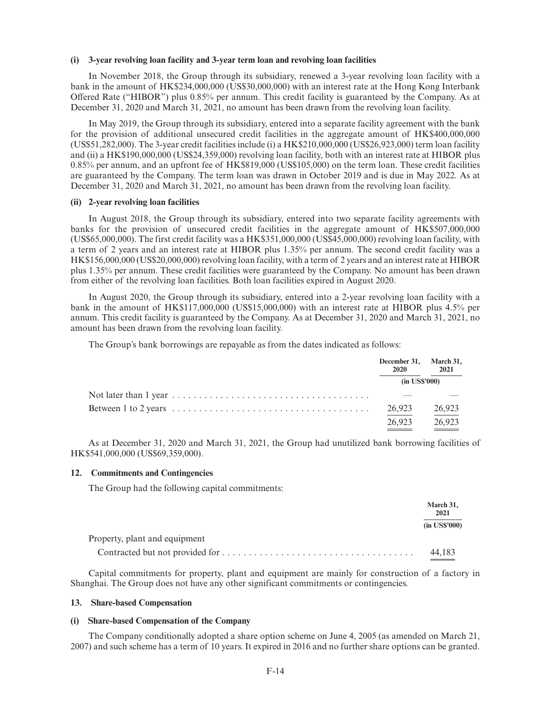#### **(i) 3-year revolving loan facility and 3-year term loan and revolving loan facilities**

In November 2018, the Group through its subsidiary, renewed a 3-year revolving loan facility with a bank in the amount of HK\$234,000,000 (US\$30,000,000) with an interest rate at the Hong Kong Interbank Offered Rate ("HIBOR") plus 0.85% per annum. This credit facility is guaranteed by the Company. As at December 31, 2020 and March 31, 2021, no amount has been drawn from the revolving loan facility.

In May 2019, the Group through its subsidiary, entered into a separate facility agreement with the bank for the provision of additional unsecured credit facilities in the aggregate amount of HK\$400,000,000 (US\$51,282,000). The 3-year credit facilities include (i) a HK\$210,000,000 (US\$26,923,000) term loan facility and (ii) a HK\$190,000,000 (US\$24,359,000) revolving loan facility, both with an interest rate at HIBOR plus 0.85% per annum, and an upfront fee of HK\$819,000 (US\$105,000) on the term loan. These credit facilities are guaranteed by the Company. The term loan was drawn in October 2019 and is due in May 2022. As at December 31, 2020 and March 31, 2021, no amount has been drawn from the revolving loan facility.

#### **(ii) 2-year revolving loan facilities**

In August 2018, the Group through its subsidiary, entered into two separate facility agreements with banks for the provision of unsecured credit facilities in the aggregate amount of HK\$507,000,000 (US\$65,000,000). The first credit facility was a HK\$351,000,000 (US\$45,000,000) revolving loan facility, with a term of 2 years and an interest rate at HIBOR plus 1.35% per annum. The second credit facility was a HK\$156,000,000 (US\$20,000,000) revolving loan facility, with a term of 2 years and an interest rate at HIBOR plus 1.35% per annum. These credit facilities were guaranteed by the Company. No amount has been drawn from either of the revolving loan facilities. Both loan facilities expired in August 2020.

In August 2020, the Group through its subsidiary, entered into a 2-year revolving loan facility with a bank in the amount of HK\$117,000,000 (US\$15,000,000) with an interest rate at HIBOR plus 4.5% per annum. This credit facility is guaranteed by the Company. As at December 31, 2020 and March 31, 2021, no amount has been drawn from the revolving loan facility.

The Group's bank borrowings are repayable as from the dates indicated as follows:

| December 31,<br>2020 | March 31,<br>2021 |
|----------------------|-------------------|
| $(in$ US\$'000)      |                   |
|                      |                   |
| 26,923               | 26,923            |
| 26.923               | 26.923            |

As at December 31, 2020 and March 31, 2021, the Group had unutilized bank borrowing facilities of HK\$541,000,000 (US\$69,359,000).

#### **12. Commitments and Contingencies**

The Group had the following capital commitments:

|                               | March 31,<br>2021 |
|-------------------------------|-------------------|
|                               | $(in$ US\$'000)   |
| Property, plant and equipment |                   |
|                               | 44.183            |

Capital commitments for property, plant and equipment are mainly for construction of a factory in Shanghai. The Group does not have any other significant commitments or contingencies.

#### **13. Share-based Compensation**

## **(i) Share-based Compensation of the Company**

The Company conditionally adopted a share option scheme on June 4, 2005 (as amended on March 21, 2007) and such scheme has a term of 10 years. It expired in 2016 and no further share options can be granted.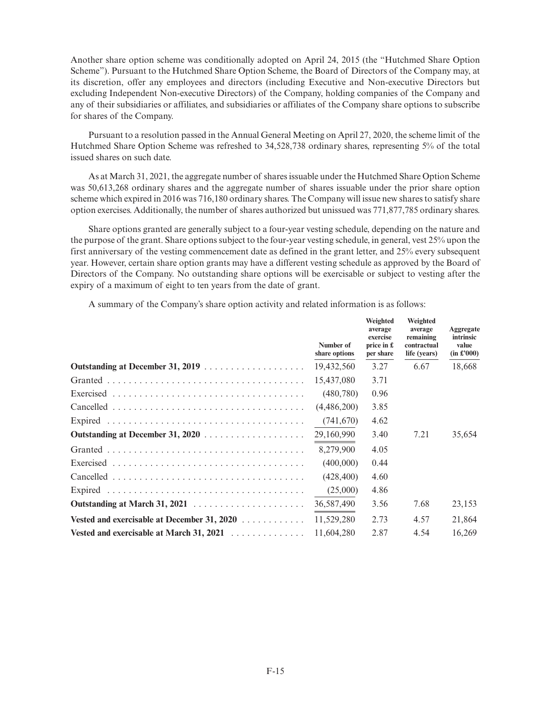Another share option scheme was conditionally adopted on April 24, 2015 (the "Hutchmed Share Option Scheme"). Pursuant to the Hutchmed Share Option Scheme, the Board of Directors of the Company may, at its discretion, offer any employees and directors (including Executive and Non-executive Directors but excluding Independent Non-executive Directors) of the Company, holding companies of the Company and any of their subsidiaries or affiliates, and subsidiaries or affiliates of the Company share options to subscribe for shares of the Company.

Pursuant to a resolution passed in the Annual General Meeting on April 27, 2020, the scheme limit of the Hutchmed Share Option Scheme was refreshed to 34,528,738 ordinary shares, representing 5% of the total issued shares on such date.

As at March 31, 2021, the aggregate number of shares issuable under the Hutchmed Share Option Scheme was 50,613,268 ordinary shares and the aggregate number of shares issuable under the prior share option scheme which expired in 2016 was 716,180 ordinary shares. The Company will issue new shares to satisfy share option exercises. Additionally, the number of shares authorized but unissued was 771,877,785 ordinary shares.

Share options granted are generally subject to a four-year vesting schedule, depending on the nature and the purpose of the grant. Share options subject to the four-year vesting schedule, in general, vest 25% upon the first anniversary of the vesting commencement date as defined in the grant letter, and 25% every subsequent year. However, certain share option grants may have a different vesting schedule as approved by the Board of Directors of the Company. No outstanding share options will be exercisable or subject to vesting after the expiry of a maximum of eight to ten years from the date of grant.

A summary of the Company's share option activity and related information is as follows:

|                                             | Number of<br>share options | Weighted<br>average<br>exercise<br>price in $\pounds$<br>per share | Weighted<br>average<br>remaining<br>contractual<br>life (years) | Aggregate<br>intrinsic<br>value<br>(in f'000) |
|---------------------------------------------|----------------------------|--------------------------------------------------------------------|-----------------------------------------------------------------|-----------------------------------------------|
|                                             | 19,432,560                 | 3.27                                                               | 6.67                                                            | 18,668                                        |
|                                             | 15,437,080                 | 3.71                                                               |                                                                 |                                               |
|                                             | (480, 780)                 | 0.96                                                               |                                                                 |                                               |
|                                             | (4,486,200)                | 3.85                                                               |                                                                 |                                               |
|                                             | (741, 670)                 | 4.62                                                               |                                                                 |                                               |
|                                             | 29,160,990                 | 3.40                                                               | 7.21                                                            | 35,654                                        |
|                                             | 8.279.900                  | 4.05                                                               |                                                                 |                                               |
|                                             | (400,000)                  | 0.44                                                               |                                                                 |                                               |
|                                             | (428, 400)                 | 4.60                                                               |                                                                 |                                               |
|                                             | (25,000)                   | 4.86                                                               |                                                                 |                                               |
|                                             | 36,587,490                 | 3.56                                                               | 7.68                                                            | 23,153                                        |
| Vested and exercisable at December 31, 2020 | 11,529,280                 | 2.73                                                               | 4.57                                                            | 21,864                                        |
| Vested and exercisable at March 31, $2021$  | 11,604,280                 | 2.87                                                               | 4.54                                                            | 16,269                                        |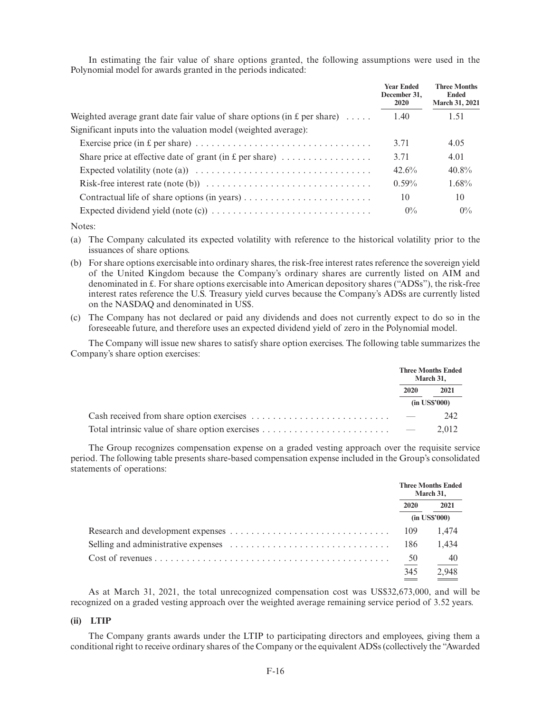In estimating the fair value of share options granted, the following assumptions were used in the Polynomial model for awards granted in the periods indicated:

|                                                                                                          | <b>Year Ended</b><br>December 31,<br>2020 | <b>Three Months</b><br><b>Ended</b><br><b>March 31, 2021</b> |
|----------------------------------------------------------------------------------------------------------|-------------------------------------------|--------------------------------------------------------------|
| Weighted average grant date fair value of share options (in $E$ per share)                               | 1.40                                      | 1.51                                                         |
| Significant inputs into the valuation model (weighted average):                                          |                                           |                                                              |
|                                                                                                          | 3.71                                      | 4.05                                                         |
| Share price at effective date of grant (in $E$ per share)                                                | 3.71                                      | 4.01                                                         |
| Expected volatility (note (a)) $\dots \dots \dots \dots \dots \dots \dots \dots \dots \dots \dots \dots$ | 42.6%                                     | $40.8\%$                                                     |
| Risk-free interest rate (note (b)) $\dots \dots \dots \dots \dots \dots \dots \dots \dots \dots$         | $0.59\%$                                  | $1.68\%$                                                     |
| Contractual life of share options (in years) $\dots \dots \dots \dots \dots \dots \dots \dots$           | 10                                        | 10                                                           |
|                                                                                                          | $0\%$                                     | $0\%$                                                        |

Notes:

(a) The Company calculated its expected volatility with reference to the historical volatility prior to the issuances of share options.

(b) For share options exercisable into ordinary shares, the risk-free interest rates reference the sovereign yield of the United Kingdom because the Company's ordinary shares are currently listed on AIM and denominated in £. For share options exercisable into American depository shares ("ADSs"), the risk-free interest rates reference the U.S. Treasury yield curves because the Company's ADSs are currently listed on the NASDAQ and denominated in US\$.

(c) The Company has not declared or paid any dividends and does not currently expect to do so in the foreseeable future, and therefore uses an expected dividend yield of zero in the Polynomial model.

The Company will issue new shares to satisfy share option exercises. The following table summarizes the Company's share option exercises:

|                                                                                                   |                          | <b>Three Months Ended</b><br>March 31, |
|---------------------------------------------------------------------------------------------------|--------------------------|----------------------------------------|
|                                                                                                   | <b>2020</b>              | 2021                                   |
|                                                                                                   |                          | $(in$ US\$'000)                        |
|                                                                                                   | $\overline{\phantom{a}}$ | 242                                    |
| Total intrinsic value of share option exercises $\dots \dots \dots \dots \dots \dots \dots \dots$ |                          | 2.012                                  |

The Group recognizes compensation expense on a graded vesting approach over the requisite service period. The following table presents share-based compensation expense included in the Group's consolidated statements of operations:

|      | <b>Three Months Ended</b><br>March 31, |  |
|------|----------------------------------------|--|
| 2020 | 2021                                   |  |
|      | $(in$ US\$'000)                        |  |
| 109  | 1.474                                  |  |
| 186  | 1.434                                  |  |
| 50   | -40                                    |  |
| 345  | 2,948                                  |  |

As at March 31, 2021, the total unrecognized compensation cost was US\$32,673,000, and will be recognized on a graded vesting approach over the weighted average remaining service period of 3.52 years.

#### **(ii) LTIP**

The Company grants awards under the LTIP to participating directors and employees, giving them a conditional right to receive ordinary shares of the Company or the equivalent ADSs (collectively the "Awarded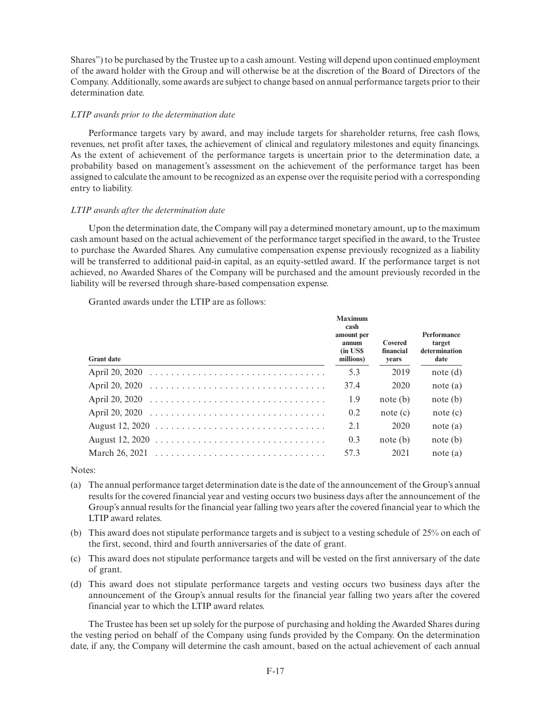Shares") to be purchased by the Trustee up to a cash amount. Vesting will depend upon continued employment of the award holder with the Group and will otherwise be at the discretion of the Board of Directors of the Company. Additionally, some awards are subject to change based on annual performance targets prior to their determination date.

## *LTIP awards prior to the determination date*

Performance targets vary by award, and may include targets for shareholder returns, free cash flows, revenues, net profit after taxes, the achievement of clinical and regulatory milestones and equity financings. As the extent of achievement of the performance targets is uncertain prior to the determination date, a probability based on management's assessment on the achievement of the performance target has been assigned to calculate the amount to be recognized as an expense over the requisite period with a corresponding entry to liability.

# *LTIP awards after the determination date*

Upon the determination date, the Company will pay a determined monetary amount, up to the maximum cash amount based on the actual achievement of the performance target specified in the award, to the Trustee to purchase the Awarded Shares. Any cumulative compensation expense previously recognized as a liability will be transferred to additional paid-in capital, as an equity-settled award. If the performance target is not achieved, no Awarded Shares of the Company will be purchased and the amount previously recorded in the liability will be reversed through share-based compensation expense.

Granted awards under the LTIP are as follows:

| <b>Grant date</b>                                                                             | <b>Maximum</b><br>cash<br>amount per<br>annum<br>(in USS)<br>millions) | Covered<br>financial<br>years | Performance<br>target<br>determination<br>date |
|-----------------------------------------------------------------------------------------------|------------------------------------------------------------------------|-------------------------------|------------------------------------------------|
|                                                                                               | 5.3                                                                    | 2019                          | note (d)                                       |
|                                                                                               | 37.4                                                                   | 2020                          | note (a)                                       |
|                                                                                               | 1.9                                                                    | note (b)                      | note (b)                                       |
|                                                                                               | 0.2                                                                    | note (c)                      | note (c)                                       |
|                                                                                               | 2.1                                                                    | 2020                          | note (a)                                       |
|                                                                                               | 0.3                                                                    | note (b)                      | note (b)                                       |
| March 26, 2021 $\ldots \ldots \ldots \ldots \ldots \ldots \ldots \ldots \ldots \ldots \ldots$ | 57.3                                                                   | 2021                          | note (a)                                       |

Notes:

- (a) The annual performance target determination date is the date of the announcement of the Group's annual results for the covered financial year and vesting occurs two business days after the announcement of the Group's annual results for the financial year falling two years after the covered financial year to which the LTIP award relates.
- (b) This award does not stipulate performance targets and is subject to a vesting schedule of 25% on each of the first, second, third and fourth anniversaries of the date of grant.
- (c) This award does not stipulate performance targets and will be vested on the first anniversary of the date of grant.
- (d) This award does not stipulate performance targets and vesting occurs two business days after the announcement of the Group's annual results for the financial year falling two years after the covered financial year to which the LTIP award relates.

The Trustee has been set up solely for the purpose of purchasing and holding the Awarded Shares during the vesting period on behalf of the Company using funds provided by the Company. On the determination date, if any, the Company will determine the cash amount, based on the actual achievement of each annual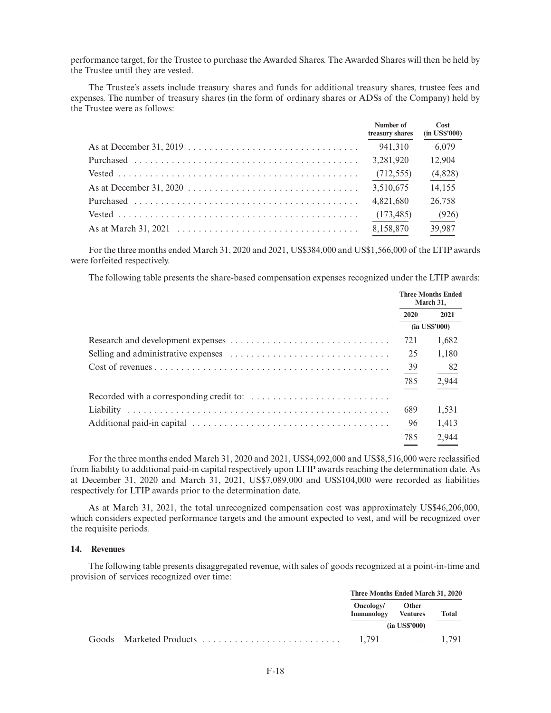performance target, for the Trustee to purchase the Awarded Shares. The Awarded Shares will then be held by the Trustee until they are vested.

The Trustee's assets include treasury shares and funds for additional treasury shares, trustee fees and expenses. The number of treasury shares (in the form of ordinary shares or ADSs of the Company) held by the Trustee were as follows:

| Number of<br>treasury shares | Cost<br>$(in$ US\$'000) |
|------------------------------|-------------------------|
| 941.310                      | 6,079                   |
| 3,281,920                    | 12,904                  |
| (712, 555)                   | (4,828)                 |
| 3,510,675                    | 14,155                  |
| 4,821,680                    | 26,758                  |
| (173, 485)                   | (926)                   |
| 8,158,870                    | 39,987                  |

For the three months ended March 31, 2020 and 2021, US\$384,000 and US\$1,566,000 of the LTIP awards were forfeited respectively.

The following table presents the share-based compensation expenses recognized under the LTIP awards:

|                                                                                            | <b>Three Months Ended</b><br>March 31, |       |
|--------------------------------------------------------------------------------------------|----------------------------------------|-------|
|                                                                                            | 2020                                   | 2021  |
|                                                                                            | $(in$ US\$'000)                        |       |
|                                                                                            | 721                                    | 1,682 |
|                                                                                            | 25                                     | 1,180 |
|                                                                                            | 39                                     | -82   |
|                                                                                            | 785                                    | 2,944 |
| Recorded with a corresponding credit to: $\dots \dots \dots \dots \dots \dots \dots \dots$ |                                        |       |
|                                                                                            | 689                                    | 1,531 |
|                                                                                            | - 96                                   | 1,413 |
|                                                                                            | 785                                    | 2.944 |

For the three months ended March 31, 2020 and 2021, US\$4,092,000 and US\$8,516,000 were reclassified from liability to additional paid-in capital respectively upon LTIP awards reaching the determination date. As at December 31, 2020 and March 31, 2021, US\$7,089,000 and US\$104,000 were recorded as liabilities respectively for LTIP awards prior to the determination date.

As at March 31, 2021, the total unrecognized compensation cost was approximately US\$46,206,000, which considers expected performance targets and the amount expected to vest, and will be recognized over the requisite periods.

#### **14. Revenues**

The following table presents disaggregated revenue, with sales of goods recognized at a point-in-time and provision of services recognized over time:

| Three Months Ended March 31, 2020 |                                             |       |
|-----------------------------------|---------------------------------------------|-------|
| Oncology/<br>Immunology           | Other<br><b>Ventures</b><br>$(in$ US\$'000) | Total |
| 1.791                             | $-1.791$                                    |       |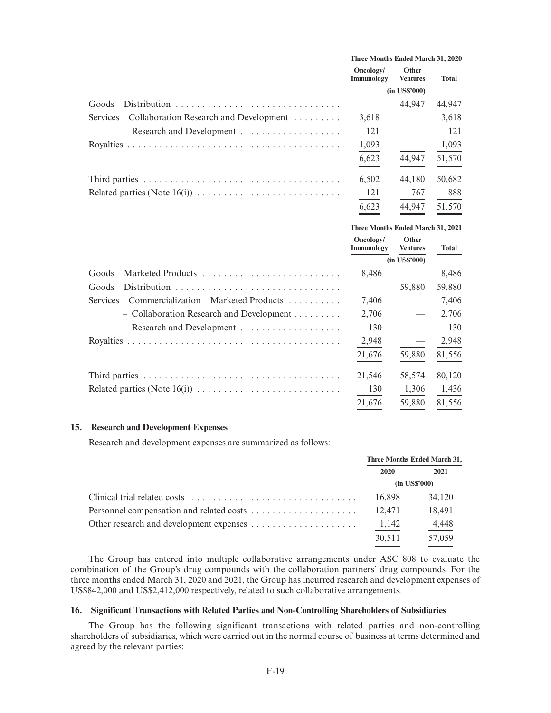|                                                   | Three Months Ended March 31, 2020 |                                 |        |
|---------------------------------------------------|-----------------------------------|---------------------------------|--------|
|                                                   | Oncology/<br>Immunology           | <b>Other</b><br><b>Ventures</b> | Total  |
|                                                   | $(in$ US\$'000)                   |                                 |        |
|                                                   |                                   | 44.947                          | 44,947 |
| Services – Collaboration Research and Development | 3,618                             |                                 | 3,618  |
|                                                   | 121                               |                                 | 121    |
|                                                   | 1,093                             |                                 | 1,093  |
|                                                   | 6,623                             | 44.947                          | 51,570 |
|                                                   | 6,502                             | 44,180                          | 50,682 |
|                                                   | 121                               | 767                             | 888    |
|                                                   | 6,623                             | 44.947                          | 51,570 |

|                                                                      |                         | Three Months Ended March 31, 2021 |        |  |  |
|----------------------------------------------------------------------|-------------------------|-----------------------------------|--------|--|--|
|                                                                      | Oncology/<br>Immunology | Other<br><b>Ventures</b>          | Total  |  |  |
|                                                                      |                         | $(in$ US\$'000 $)$                |        |  |  |
|                                                                      | 8,486                   |                                   | 8,486  |  |  |
|                                                                      |                         | 59,880                            | 59,880 |  |  |
| Services – Commercialization – Marketed Products $\dots \dots \dots$ | 7,406                   | $\overline{\phantom{m}}$          | 7,406  |  |  |
| - Collaboration Research and Development                             | 2,706                   |                                   | 2,706  |  |  |
|                                                                      | 130                     |                                   | 130    |  |  |
|                                                                      | 2,948                   | $\hspace{0.1mm}-\hspace{0.1mm}$   | 2,948  |  |  |
|                                                                      | 21,676                  | 59,880                            | 81,556 |  |  |
|                                                                      | 21,546                  | 58,574                            | 80,120 |  |  |
|                                                                      | 130                     | 1,306                             | 1,436  |  |  |
|                                                                      | 21,676                  | 59,880                            | 81,556 |  |  |

#### **15. Research and Development Expenses**

Research and development expenses are summarized as follows:

| Three Months Ended March 31, |                 |  |
|------------------------------|-----------------|--|
| 2020                         | 2021            |  |
|                              | $(in$ US\$'000) |  |
| 16.898                       | 34,120          |  |
| 12.471                       | 18.491          |  |
| 1,142                        | 4,448           |  |
| 30.511                       | 57,059          |  |

The Group has entered into multiple collaborative arrangements under ASC 808 to evaluate the combination of the Group's drug compounds with the collaboration partners' drug compounds. For the three months ended March 31, 2020 and 2021, the Group has incurred research and development expenses of US\$842,000 and US\$2,412,000 respectively, related to such collaborative arrangements.

#### **16. Significant Transactions with Related Parties and Non-Controlling Shareholders of Subsidiaries**

The Group has the following significant transactions with related parties and non-controlling shareholders of subsidiaries, which were carried out in the normal course of business at terms determined and agreed by the relevant parties: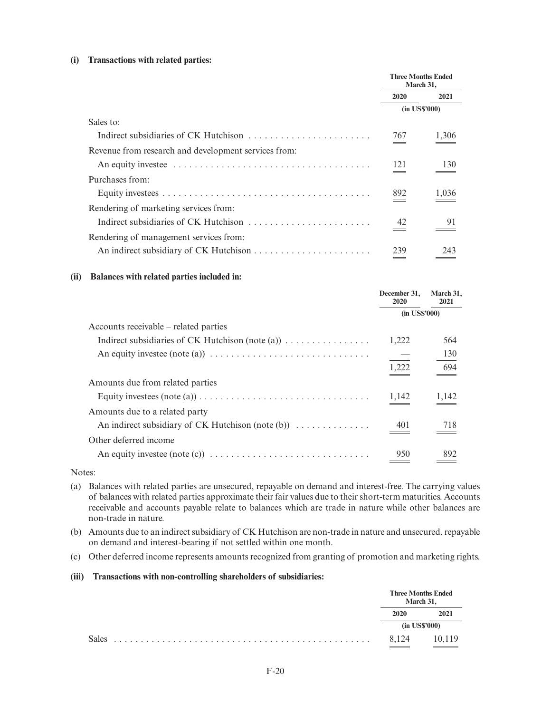## **(i) Transactions with related parties:**

|                                                      | <b>Three Months Ended</b><br>March 31, |                 |
|------------------------------------------------------|----------------------------------------|-----------------|
|                                                      | 2020                                   | 2021            |
|                                                      |                                        | $(in$ US\$'000) |
| Sales to:                                            |                                        |                 |
| Indirect subsidiaries of CK Hutchison                | 767                                    | 1,306           |
| Revenue from research and development services from: |                                        |                 |
|                                                      | 121                                    | 130             |
| Purchases from:                                      |                                        |                 |
|                                                      | 892                                    | 1,036           |
| Rendering of marketing services from:                |                                        |                 |
| Indirect subsidiaries of CK Hutchison                | 42                                     | 91              |
| Rendering of management services from:               |                                        |                 |
|                                                      | 239                                    | 243             |

## **(ii) Balances with related parties included in:**

|                                                                                                              | December 31,<br>2020 | March 31,<br>2021 |
|--------------------------------------------------------------------------------------------------------------|----------------------|-------------------|
|                                                                                                              | $(in$ US\$'000 $)$   |                   |
| Accounts receivable – related parties                                                                        |                      |                   |
| Indirect subsidiaries of CK Hutchison (note (a)) $\dots \dots \dots \dots$                                   | 1,222                | 564               |
| An equity investee (note (a)) $\dots \dots \dots \dots \dots \dots \dots \dots \dots \dots \dots$            | $\equiv$             | 130               |
|                                                                                                              | 1,222                | 694               |
| Amounts due from related parties                                                                             |                      |                   |
| Equity investees $(\text{note}(\text{a})) \dots \dots \dots \dots \dots \dots \dots \dots \dots \dots \dots$ | 1,142                | 1,142             |
| Amounts due to a related party                                                                               |                      |                   |
| An indirect subsidiary of CK Hutchison (note (b)) $\dots \dots \dots$                                        | 401                  | 718               |
| Other deferred income                                                                                        |                      |                   |
|                                                                                                              | 950                  | 892               |

Notes:

- (a) Balances with related parties are unsecured, repayable on demand and interest-free. The carrying values of balances with related parties approximate their fair values due to their short-term maturities. Accounts receivable and accounts payable relate to balances which are trade in nature while other balances are non-trade in nature.
- (b) Amounts due to an indirect subsidiary of CK Hutchison are non-trade in nature and unsecured, repayable on demand and interest-bearing if not settled within one month.
- (c) Other deferred income represents amounts recognized from granting of promotion and marketing rights.

# **(iii) Transactions with non-controlling shareholders of subsidiaries:**

|              | <b>Three Months Ended</b><br>March 31, |                 |
|--------------|----------------------------------------|-----------------|
|              | 2020                                   | 2021            |
|              |                                        | $(in$ US\$'000) |
| <b>Sales</b> | 8.124                                  | 10,119          |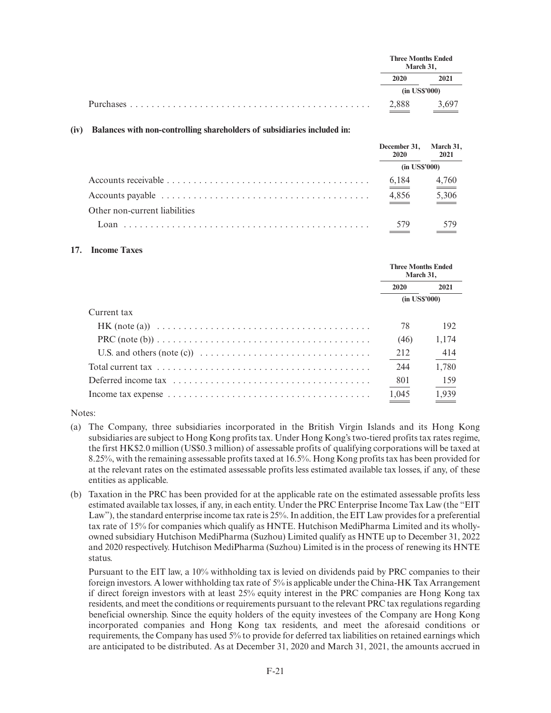| March 31, | <b>Three Months Ended</b> |
|-----------|---------------------------|
| 2020      | 2021                      |
|           | $(in$ US\$'000)           |
| 2,888     | 3,697                     |

#### **(iv) Balances with non-controlling shareholders of subsidiaries included in:**

|                               | December 31, March 31,<br>2020 | 2021                         |  |
|-------------------------------|--------------------------------|------------------------------|--|
|                               | $(in$ US\$'000)                |                              |  |
|                               | 6,184                          | $\frac{4,760}{2}$            |  |
|                               | 4,856                          | $\underline{\frac{5,306}{}}$ |  |
| Other non-current liabilities |                                |                              |  |
| Loan.                         | 579                            |                              |  |

#### **17. Income Taxes**

|                                                                                                                 | <b>Three Months Ended</b><br>March 31, |       |  |
|-----------------------------------------------------------------------------------------------------------------|----------------------------------------|-------|--|
|                                                                                                                 | <b>2020</b>                            | 2021  |  |
|                                                                                                                 | $(in$ US\$'000)                        |       |  |
| Current tax                                                                                                     |                                        |       |  |
| $HK (note (a)) \dots \dots \dots \dots \dots \dots \dots \dots \dots \dots \dots \dots \dots \dots \dots \dots$ | 78                                     | 192   |  |
|                                                                                                                 | (46)                                   | 1,174 |  |
| U.S. and others (note (c)) $\ldots \ldots \ldots \ldots \ldots \ldots \ldots \ldots \ldots \ldots$              | 212                                    | 414   |  |
|                                                                                                                 | 244                                    | 1,780 |  |
|                                                                                                                 | 801                                    | 159   |  |
| Income tax expense $\dots \dots \dots \dots \dots \dots \dots \dots \dots \dots \dots \dots \dots \dots$        | 1,045                                  | 1.939 |  |

## Notes:

- (a) The Company, three subsidiaries incorporated in the British Virgin Islands and its Hong Kong subsidiaries are subject to Hong Kong profits tax. Under Hong Kong's two-tiered profits tax rates regime, the first HK\$2.0 million (US\$0.3 million) of assessable profits of qualifying corporations will be taxed at 8.25%, with the remaining assessable profits taxed at 16.5%. Hong Kong profits tax has been provided for at the relevant rates on the estimated assessable profits less estimated available tax losses, if any, of these entities as applicable.
- (b) Taxation in the PRC has been provided for at the applicable rate on the estimated assessable profits less estimated available tax losses, if any, in each entity. Under the PRC Enterprise Income Tax Law (the "EIT Law"), the standard enterprise income tax rate is 25%. In addition, the EIT Law provides for a preferential tax rate of 15% for companies which qualify as HNTE. Hutchison MediPharma Limited and its whollyowned subsidiary Hutchison MediPharma (Suzhou) Limited qualify as HNTE up to December 31, 2022 and 2020 respectively. Hutchison MediPharma (Suzhou) Limited is in the process of renewing its HNTE status.

Pursuant to the EIT law, a 10% withholding tax is levied on dividends paid by PRC companies to their foreign investors. A lower withholding tax rate of 5% is applicable under the China-HK Tax Arrangement if direct foreign investors with at least 25% equity interest in the PRC companies are Hong Kong tax residents, and meet the conditions or requirements pursuant to the relevant PRC tax regulations regarding beneficial ownership. Since the equity holders of the equity investees of the Company are Hong Kong incorporated companies and Hong Kong tax residents, and meet the aforesaid conditions or requirements, the Company has used 5% to provide for deferred tax liabilities on retained earnings which are anticipated to be distributed. As at December 31, 2020 and March 31, 2021, the amounts accrued in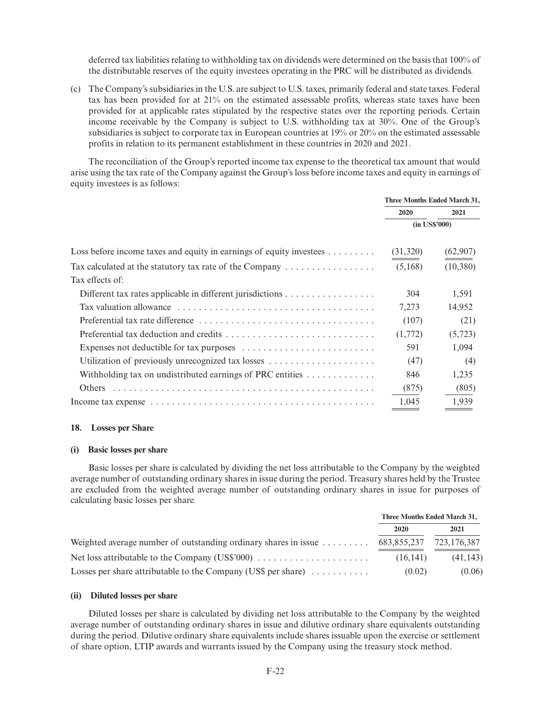deferred tax liabilities relating to withholding tax on dividends were determined on the basis that 100% of the distributable reserves of the equity investees operating in the PRC will be distributed as dividends.

(c) The Company's subsidiaries in the U.S. are subject to U.S. taxes, primarily federal and state taxes. Federal tax has been provided for at 21% on the estimated assessable profits, whereas state taxes have been provided for at applicable rates stipulated by the respective states over the reporting periods. Certain income receivable by the Company is subject to U.S. withholding tax at 30%. One of the Group's subsidiaries is subject to corporate tax in European countries at 19% or 20% on the estimated assessable profits in relation to its permanent establishment in these countries in 2020 and 2021.

The reconciliation of the Group's reported income tax expense to the theoretical tax amount that would arise using the tax rate of the Company against the Group's loss before income taxes and equity in earnings of equity investees is as follows:

|                                                                                         | Three Months Ended March 31, |           |
|-----------------------------------------------------------------------------------------|------------------------------|-----------|
|                                                                                         | 2020                         | 2021      |
|                                                                                         | $(in$ US\$'000 $)$           |           |
| Loss before income taxes and equity in earnings of equity investees $\dots \dots$       | (31, 320)                    | (62, 907) |
| Tax calculated at the statutory tax rate of the Company $\dots \dots \dots \dots \dots$ | (5,168)                      | (10,380)  |
| Tax effects of:                                                                         |                              |           |
|                                                                                         | 304                          | 1,591     |
|                                                                                         | 7,273                        | 14,952    |
|                                                                                         | (107)                        | (21)      |
|                                                                                         | (1,772)                      | (5, 723)  |
|                                                                                         | 591                          | 1,094     |
|                                                                                         | (47)                         | (4)       |
| Withholding tax on undistributed earnings of PRC entities $\dots \dots \dots \dots$     | 846                          | 1,235     |
|                                                                                         | (875)                        | (805)     |
|                                                                                         | 1,045                        | 1,939     |

#### **18. Losses per Share**

#### **(i) Basic losses per share**

Basic losses per share is calculated by dividing the net loss attributable to the Company by the weighted average number of outstanding ordinary shares in issue during the period. Treasury shares held by the Trustee are excluded from the weighted average number of outstanding ordinary shares in issue for purposes of calculating basic losses per share.

|                                                                               | Three Months Ended March 31, |             |  |
|-------------------------------------------------------------------------------|------------------------------|-------------|--|
|                                                                               | 2020                         | 2021        |  |
| Weighted average number of outstanding ordinary shares in issue $\dots \dots$ | 683,855,237                  | 723,176,387 |  |
|                                                                               | (16.141)                     | (41, 143)   |  |
| Losses per share attributable to the Company (US\$ per share) $\dots \dots$   | (0.02)                       | (0.06)      |  |

## **(ii) Diluted losses per share**

Diluted losses per share is calculated by dividing net loss attributable to the Company by the weighted average number of outstanding ordinary shares in issue and dilutive ordinary share equivalents outstanding during the period. Dilutive ordinary share equivalents include shares issuable upon the exercise or settlement of share option, LTIP awards and warrants issued by the Company using the treasury stock method.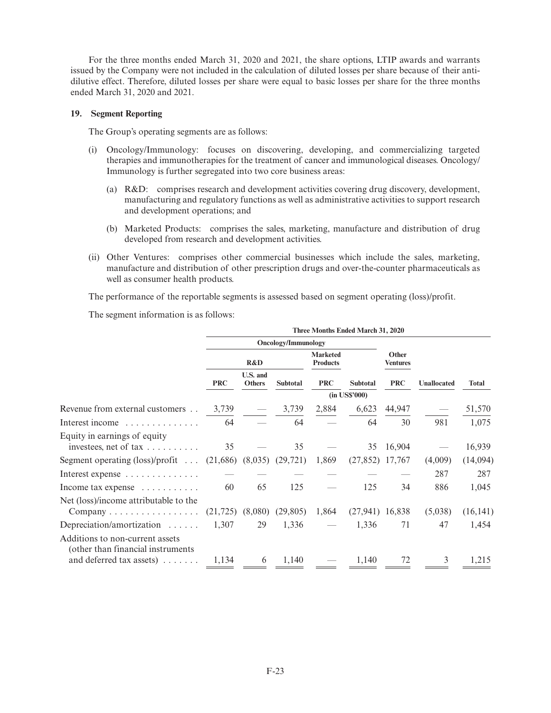For the three months ended March 31, 2020 and 2021, the share options, LTIP awards and warrants issued by the Company were not included in the calculation of diluted losses per share because of their antidilutive effect. Therefore, diluted losses per share were equal to basic losses per share for the three months ended March 31, 2020 and 2021.

## **19. Segment Reporting**

The Group's operating segments are as follows:

- (i) Oncology/Immunology: focuses on discovering, developing, and commercializing targeted therapies and immunotherapies for the treatment of cancer and immunological diseases. Oncology/ Immunology is further segregated into two core business areas:
	- (a) R&D: comprises research and development activities covering drug discovery, development, manufacturing and regulatory functions as well as administrative activities to support research and development operations; and
	- (b) Marketed Products: comprises the sales, marketing, manufacture and distribution of drug developed from research and development activities.
- (ii) Other Ventures: comprises other commercial businesses which include the sales, marketing, manufacture and distribution of other prescription drugs and over-the-counter pharmaceuticals as well as consumer health products.

The performance of the reportable segments is assessed based on segment operating (loss)/profit.

The segment information is as follows:

|            | R&D                                                                                                                                                 |            | <b>Marketed</b><br><b>Products</b> |                                                                                                           | Other<br>Ventures      |                                                                                                                |              |
|------------|-----------------------------------------------------------------------------------------------------------------------------------------------------|------------|------------------------------------|-----------------------------------------------------------------------------------------------------------|------------------------|----------------------------------------------------------------------------------------------------------------|--------------|
| <b>PRC</b> | U.S. and<br><b>Others</b>                                                                                                                           | Subtotal   | <b>PRC</b>                         | <b>Subtotal</b>                                                                                           | <b>PRC</b>             | Unallocated                                                                                                    | <b>Total</b> |
|            |                                                                                                                                                     |            |                                    |                                                                                                           |                        |                                                                                                                |              |
| 3,739      |                                                                                                                                                     | 3,739      | 2,884                              |                                                                                                           |                        |                                                                                                                | 51,570       |
| 64         |                                                                                                                                                     | 64         |                                    | 64                                                                                                        | 30                     | 981                                                                                                            | 1,075        |
| 35         |                                                                                                                                                     | 35         |                                    |                                                                                                           |                        |                                                                                                                | 16,939       |
|            |                                                                                                                                                     |            | 1,869                              |                                                                                                           |                        | (4,009)                                                                                                        | (14,094)     |
|            |                                                                                                                                                     |            |                                    |                                                                                                           |                        | 287                                                                                                            | 287          |
| 60         | 65                                                                                                                                                  | 125        |                                    | 125                                                                                                       | 34                     | 886                                                                                                            | 1,045        |
|            |                                                                                                                                                     |            | 1,864                              |                                                                                                           |                        | (5,038)                                                                                                        | (16, 141)    |
|            | 29                                                                                                                                                  |            |                                    | 1,336                                                                                                     | 71                     | 47                                                                                                             | 1,454        |
|            |                                                                                                                                                     |            |                                    |                                                                                                           |                        |                                                                                                                | 1,215        |
|            | Segment operating $(\text{loss})/\text{profit} \dots$<br>Company $\dots \dots \dots \dots \dots$<br>1,134<br>and deferred tax assets) $\dots \dots$ | 1,307<br>6 | 1,140                              | <b>Oncology/Immunology</b><br>$(21,686)$ $(8,035)$ $(29,721)$<br>$(21,725)$ $(8,080)$ $(29,805)$<br>1,336 | (in US\$'000)<br>1,140 | Three Months Ended March 31, 2020<br>6,623 44,947<br>35 16,904<br>$(27,852)$ 17,767<br>$(27,941)$ 16,838<br>72 | 3            |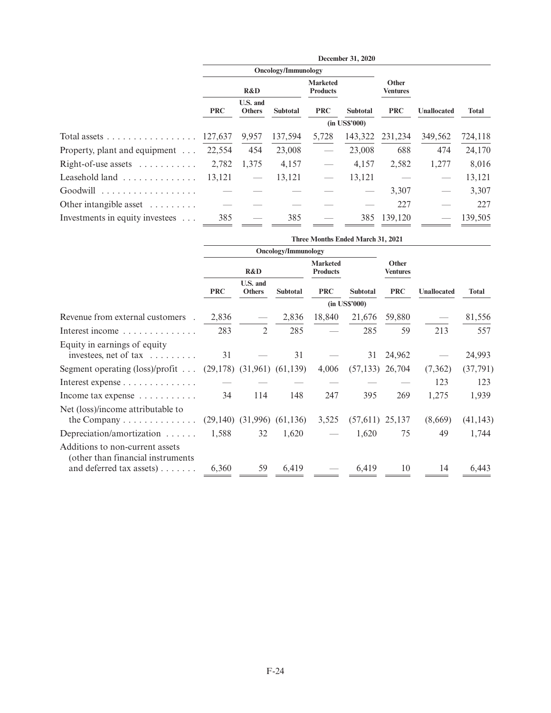|                                         |            |                           |                            |                                    | December 31, 2020 |                          |                    |         |
|-----------------------------------------|------------|---------------------------|----------------------------|------------------------------------|-------------------|--------------------------|--------------------|---------|
|                                         |            |                           | <b>Oncology/Immunology</b> |                                    |                   |                          |                    |         |
|                                         |            | R&D                       |                            | <b>Marketed</b><br><b>Products</b> |                   | Other<br><b>Ventures</b> |                    |         |
|                                         | <b>PRC</b> | U.S. and<br><b>Others</b> | <b>Subtotal</b>            | <b>PRC</b>                         | <b>Subtotal</b>   | <b>PRC</b>               | <b>Unallocated</b> | Total   |
|                                         |            |                           |                            |                                    | $(in$ US\$'000)   |                          |                    |         |
| Total assets                            | 127,637    | 9,957                     | 137,594                    | 5,728                              | 143,322           | 231,234                  | 349,562            | 724,118 |
| Property, plant and equipment $\dots$   | 22,554     | 454                       | 23,008                     |                                    | 23,008            | 688                      | 474                | 24,170  |
| $Right-of-use assets$                   | 2,782      | 1,375                     | 4,157                      |                                    | 4,157             | 2,582                    | 1,277              | 8,016   |
| Leasehold land                          | 13,121     |                           | 13,121                     |                                    | 13,121            |                          |                    | 13,121  |
| Goodwill                                |            |                           |                            |                                    |                   | 3,307                    |                    | 3,307   |
| Other intangible asset $\dots \dots$    |            |                           |                            |                                    |                   | 227                      |                    | 227     |
| Investments in equity investees $\dots$ | 385        |                           | 385                        |                                    | 385               | 139,120                  |                    | 139.505 |

|                                                                                                           | Three Months Ended March 31, 2021 |                           |                                  |                                    |                    |                   |             |              |
|-----------------------------------------------------------------------------------------------------------|-----------------------------------|---------------------------|----------------------------------|------------------------------------|--------------------|-------------------|-------------|--------------|
|                                                                                                           | <b>Oncology/Immunology</b>        |                           |                                  |                                    |                    |                   |             |              |
|                                                                                                           | R&D                               |                           |                                  | <b>Marketed</b><br><b>Products</b> |                    | Other<br>Ventures |             |              |
|                                                                                                           | <b>PRC</b>                        | U.S. and<br><b>Others</b> | <b>Subtotal</b>                  | <b>PRC</b>                         | <b>Subtotal</b>    | <b>PRC</b>        | Unallocated | <b>Total</b> |
|                                                                                                           |                                   |                           |                                  |                                    | $(in$ US\$'000 $)$ |                   |             |              |
| Revenue from external customers .                                                                         | 2,836                             |                           | 2,836                            | 18,840                             | 21,676             | 59,880            |             | 81,556       |
| Interest income                                                                                           | 283                               | 2                         | 285                              |                                    | 285                | 59                | 213         | 557          |
| Equity in earnings of equity<br>investees, net of tax $\dots\dots\dots$                                   | 31                                |                           | 31                               |                                    | 31                 | 24,962            |             | 24,993       |
| Segment operating $(\text{loss})/\text{profit} \dots$                                                     |                                   |                           | $(29,178)$ $(31,961)$ $(61,139)$ | 4,006                              | $(57,133)$ 26,704  |                   | (7,362)     | (37, 791)    |
| Interest expense                                                                                          |                                   |                           |                                  |                                    |                    |                   | 123         | 123          |
| Income tax expense $\dots \dots \dots$                                                                    | 34                                | 114                       | 148                              | 247                                | 395                | 269               | 1,275       | 1,939        |
| Net (loss)/income attributable to<br>the Company $\dots \dots \dots \dots$                                |                                   |                           | $(29,140)$ $(31,996)$ $(61,136)$ | 3,525                              | $(57,611)$ 25,137  |                   | (8,669)     | (41, 143)    |
| Depreciation/amortization                                                                                 | 1,588                             | 32                        | 1,620                            |                                    | 1,620              | 75                | 49          | 1,744        |
| Additions to non-current assets<br>(other than financial instruments)<br>and deferred tax assets) $\dots$ | 6,360                             | 59                        | 6,419                            |                                    | 6,419              | 10                | 14          | 6,443        |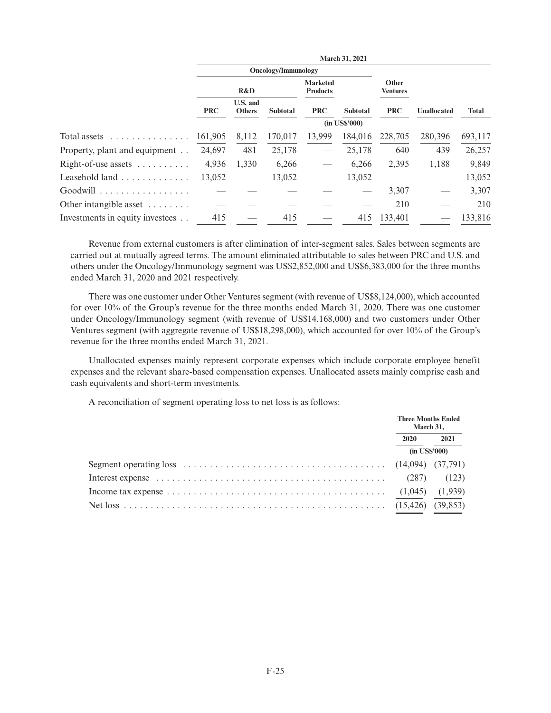|                                      |                            |                           |                 |                                    | March 31, 2021  |                          |                    |              |
|--------------------------------------|----------------------------|---------------------------|-----------------|------------------------------------|-----------------|--------------------------|--------------------|--------------|
|                                      | <b>Oncology/Immunology</b> |                           |                 |                                    |                 |                          |                    |              |
|                                      |                            | R&D                       |                 | <b>Marketed</b><br><b>Products</b> |                 | Other<br><b>Ventures</b> |                    |              |
|                                      | <b>PRC</b>                 | U.S. and<br><b>Others</b> | <b>Subtotal</b> | <b>PRC</b>                         | <b>Subtotal</b> | <b>PRC</b>               | <b>Unallocated</b> | <b>Total</b> |
|                                      |                            |                           |                 |                                    | $(in$ US\$'000) |                          |                    |              |
| Total assets<br>.                    | 161,905                    | 8,112                     | 170,017         | 13.999                             | 184,016         | 228,705                  | 280,396            | 693,117      |
| Property, plant and equipment        | 24,697                     | 481                       | 25,178          |                                    | 25,178          | 640                      | 439                | 26,257       |
| Right-of-use assets $\dots \dots$    | 4,936                      | 1,330                     | 6,266           |                                    | 6.266           | 2,395                    | 1,188              | 9,849        |
| Leasehold land                       | 13,052                     |                           | 13,052          |                                    | 13,052          |                          |                    | 13,052       |
| Goodwill                             |                            |                           |                 |                                    |                 | 3,307                    |                    | 3,307        |
| Other intangible asset $\dots \dots$ |                            |                           |                 |                                    |                 | 210                      |                    | 210          |
| Investments in equity investees      | 415                        |                           | 415             |                                    | 415             | 133.401                  |                    | 133,816      |

Revenue from external customers is after elimination of inter-segment sales. Sales between segments are carried out at mutually agreed terms. The amount eliminated attributable to sales between PRC and U.S. and others under the Oncology/Immunology segment was US\$2,852,000 and US\$6,383,000 for the three months ended March 31, 2020 and 2021 respectively.

There was one customer under Other Ventures segment (with revenue of US\$8,124,000), which accounted for over 10% of the Group's revenue for the three months ended March 31, 2020. There was one customer under Oncology/Immunology segment (with revenue of US\$14,168,000) and two customers under Other Ventures segment (with aggregate revenue of US\$18,298,000), which accounted for over 10% of the Group's revenue for the three months ended March 31, 2021.

Unallocated expenses mainly represent corporate expenses which include corporate employee benefit expenses and the relevant share-based compensation expenses. Unallocated assets mainly comprise cash and cash equivalents and short-term investments.

A reconciliation of segment operating loss to net loss is as follows:

|                                                                                                              | <b>Three Months Ended</b><br>March 31, |           |
|--------------------------------------------------------------------------------------------------------------|----------------------------------------|-----------|
|                                                                                                              | 2020                                   | 2021      |
|                                                                                                              | $(in$ US\$'000)                        |           |
| Segment operating loss $\dots \dots \dots \dots \dots \dots \dots \dots \dots \dots \dots$ (14,094) (37,791) |                                        |           |
| Interest expense $\ldots \ldots \ldots \ldots \ldots \ldots \ldots \ldots \ldots \ldots \ldots \ldots$ (287) |                                        | (123)     |
| Income tax expense $\dots \dots \dots \dots \dots \dots \dots \dots \dots \dots \dots \dots \dots$ (1,045)   |                                        | (1,939)   |
|                                                                                                              |                                        | (39, 853) |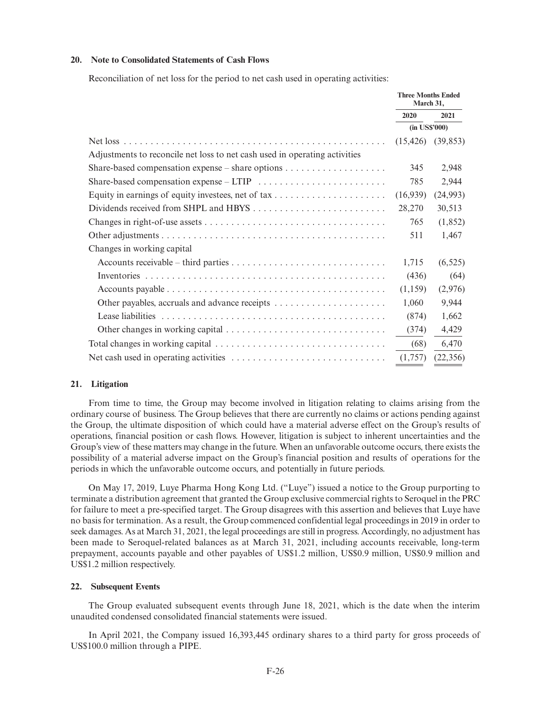#### **20. Note to Consolidated Statements of Cash Flows**

Reconciliation of net loss for the period to net cash used in operating activities:

|                                                                            | <b>Three Months Ended</b><br>March 31, |           |
|----------------------------------------------------------------------------|----------------------------------------|-----------|
|                                                                            | 2020                                   | 2021      |
|                                                                            | (in US\$'000)                          |           |
|                                                                            | (15, 426)                              | (39, 853) |
| Adjustments to reconcile net loss to net cash used in operating activities |                                        |           |
|                                                                            | 345                                    | 2,948     |
|                                                                            | 785                                    | 2,944     |
|                                                                            | (16,939)                               | (24,993)  |
|                                                                            | 28,270                                 | 30,513    |
|                                                                            | 765                                    | (1,852)   |
|                                                                            | 511                                    | 1,467     |
| Changes in working capital                                                 |                                        |           |
|                                                                            | 1,715                                  | (6, 525)  |
|                                                                            | (436)                                  | (64)      |
|                                                                            | (1,159)                                | (2,976)   |
|                                                                            | 1,060                                  | 9,944     |
|                                                                            | (874)                                  | 1,662     |
|                                                                            | (374)                                  | 4,429     |
|                                                                            | (68)                                   | 6,470     |
|                                                                            | (1,757)                                | (22, 356) |

#### **21. Litigation**

From time to time, the Group may become involved in litigation relating to claims arising from the ordinary course of business. The Group believes that there are currently no claims or actions pending against the Group, the ultimate disposition of which could have a material adverse effect on the Group's results of operations, financial position or cash flows. However, litigation is subject to inherent uncertainties and the Group's view of these matters may change in the future. When an unfavorable outcome occurs, there exists the possibility of a material adverse impact on the Group's financial position and results of operations for the periods in which the unfavorable outcome occurs, and potentially in future periods.

On May 17, 2019, Luye Pharma Hong Kong Ltd. ("Luye") issued a notice to the Group purporting to terminate a distribution agreement that granted the Group exclusive commercial rights to Seroquel in the PRC for failure to meet a pre-specified target. The Group disagrees with this assertion and believes that Luye have no basis for termination. As a result, the Group commenced confidential legal proceedings in 2019 in order to seek damages. As at March 31, 2021, the legal proceedings are still in progress. Accordingly, no adjustment has been made to Seroquel-related balances as at March 31, 2021, including accounts receivable, long-term prepayment, accounts payable and other payables of US\$1.2 million, US\$0.9 million, US\$0.9 million and US\$1.2 million respectively.

#### **22. Subsequent Events**

The Group evaluated subsequent events through June 18, 2021, which is the date when the interim unaudited condensed consolidated financial statements were issued.

In April 2021, the Company issued 16,393,445 ordinary shares to a third party for gross proceeds of US\$100.0 million through a PIPE.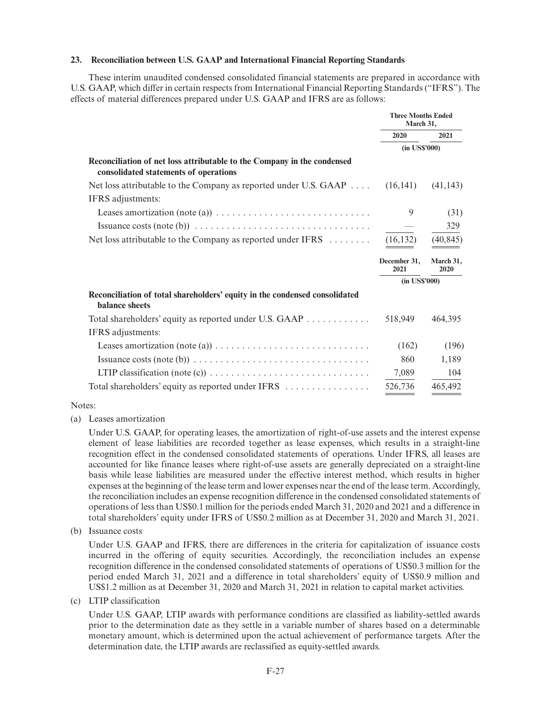## **23. Reconciliation between U.S. GAAP and International Financial Reporting Standards**

These interim unaudited condensed consolidated financial statements are prepared in accordance with U.S. GAAP, which differ in certain respects from International Financial Reporting Standards ("IFRS"). The effects of material differences prepared under U.S. GAAP and IFRS are as follows:

|                                                                                                                  | <b>Three Months Ended</b><br>March 31, |                   |  |
|------------------------------------------------------------------------------------------------------------------|----------------------------------------|-------------------|--|
|                                                                                                                  | 2020                                   | 2021              |  |
|                                                                                                                  | $(in$ US\$'000 $)$                     |                   |  |
| Reconciliation of net loss attributable to the Company in the condensed<br>consolidated statements of operations |                                        |                   |  |
| Net loss attributable to the Company as reported under U.S. GAAP $\dots$ (16,141)                                |                                        | (41, 143)         |  |
| IFRS adjustments:                                                                                                |                                        |                   |  |
|                                                                                                                  | 9                                      | (31)              |  |
| Issuance costs (note (b)) $\dots \dots \dots \dots \dots \dots \dots \dots \dots \dots \dots \dots$              |                                        | 329               |  |
| Net loss attributable to the Company as reported under IFRS                                                      | (16, 132)                              | (40, 845)         |  |
|                                                                                                                  | December 31,<br>2021                   | March 31,<br>2020 |  |
|                                                                                                                  | $(in$ US\$'000 $)$                     |                   |  |
| Reconciliation of total shareholders' equity in the condensed consolidated                                       |                                        |                   |  |
| balance sheets                                                                                                   |                                        |                   |  |
| Total shareholders' equity as reported under U.S. GAAP                                                           | 518,949                                | 464,395           |  |
| IFRS adjustments:                                                                                                |                                        |                   |  |
| Leases amortization (note (a)) $\dots \dots \dots \dots \dots \dots \dots \dots \dots \dots$                     | (162)                                  | (196)             |  |
|                                                                                                                  | 860                                    | 1,189             |  |
|                                                                                                                  | 7,089                                  | 104               |  |

## Notes:

(a) Leases amortization

Under U.S. GAAP, for operating leases, the amortization of right-of-use assets and the interest expense element of lease liabilities are recorded together as lease expenses, which results in a straight-line recognition effect in the condensed consolidated statements of operations. Under IFRS, all leases are accounted for like finance leases where right-of-use assets are generally depreciated on a straight-line basis while lease liabilities are measured under the effective interest method, which results in higher expenses at the beginning of the lease term and lower expenses near the end of the lease term. Accordingly, the reconciliation includes an expense recognition difference in the condensed consolidated statements of operations of less than US\$0.1 million for the periods ended March 31, 2020 and 2021 and a difference in total shareholders' equity under IFRS of US\$0.2 million as at December 31, 2020 and March 31, 2021.

(b) Issuance costs

Under U.S. GAAP and IFRS, there are differences in the criteria for capitalization of issuance costs incurred in the offering of equity securities. Accordingly, the reconciliation includes an expense recognition difference in the condensed consolidated statements of operations of US\$0.3 million for the period ended March 31, 2021 and a difference in total shareholders' equity of US\$0.9 million and US\$1.2 million as at December 31, 2020 and March 31, 2021 in relation to capital market activities.

(c) LTIP classification

Under U.S. GAAP, LTIP awards with performance conditions are classified as liability-settled awards prior to the determination date as they settle in a variable number of shares based on a determinable monetary amount, which is determined upon the actual achievement of performance targets. After the determination date, the LTIP awards are reclassified as equity-settled awards.